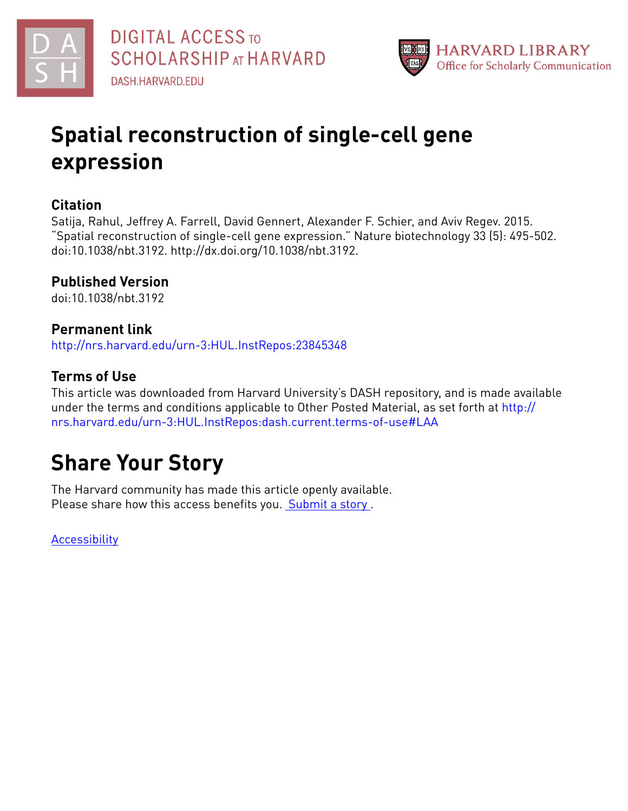



# **Spatial reconstruction of single-cell gene expression**

# **Citation**

Satija, Rahul, Jeffrey A. Farrell, David Gennert, Alexander F. Schier, and Aviv Regev. 2015. "Spatial reconstruction of single-cell gene expression." Nature biotechnology 33 (5): 495-502. doi:10.1038/nbt.3192. http://dx.doi.org/10.1038/nbt.3192.

# **Published Version**

doi:10.1038/nbt.3192

# **Permanent link**

<http://nrs.harvard.edu/urn-3:HUL.InstRepos:23845348>

# **Terms of Use**

This article was downloaded from Harvard University's DASH repository, and is made available under the terms and conditions applicable to Other Posted Material, as set forth at [http://](http://nrs.harvard.edu/urn-3:HUL.InstRepos:dash.current.terms-of-use#LAA) [nrs.harvard.edu/urn-3:HUL.InstRepos:dash.current.terms-of-use#LAA](http://nrs.harvard.edu/urn-3:HUL.InstRepos:dash.current.terms-of-use#LAA)

# **Share Your Story**

The Harvard community has made this article openly available. Please share how this access benefits you. [Submit](http://osc.hul.harvard.edu/dash/open-access-feedback?handle=&title=Spatial%20reconstruction%20of%20single-cell%20gene%20expression&community=1/1&collection=1/2&owningCollection1/2&harvardAuthors=566c06824fb18612c54f04ff4e4daa6e&department) a story .

**[Accessibility](https://dash.harvard.edu/pages/accessibility)**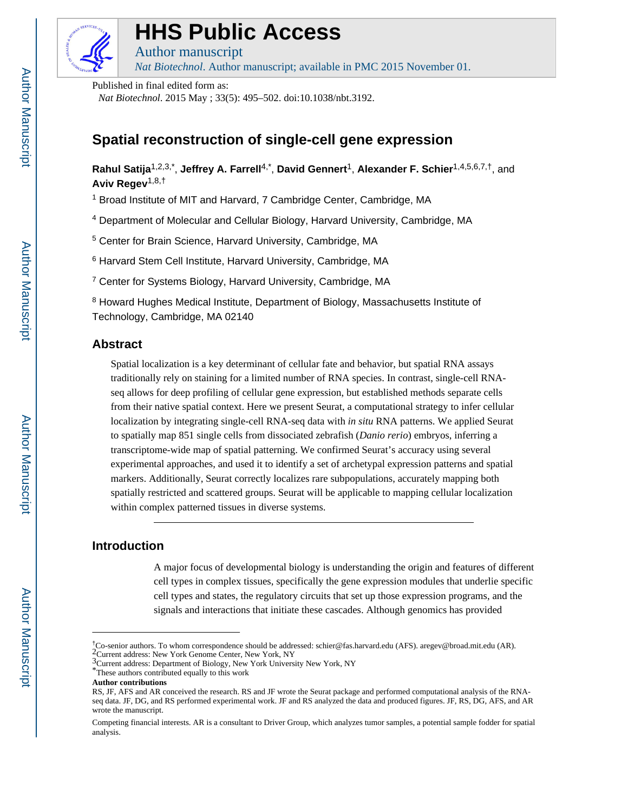

# **HHS Public Access**

Author manuscript

*Nat Biotechnol*. Author manuscript; available in PMC 2015 November 01.

Published in final edited form as:

*Nat Biotechnol*. 2015 May ; 33(5): 495–502. doi:10.1038/nbt.3192.

# **Spatial reconstruction of single-cell gene expression**

**Rahul Satija**1,2,3,\* , **Jeffrey A. Farrell**4,\* , **David Gennert**1, **Alexander F. Schier**1,4,5,6,7,†, and **Aviv Regev**1,8,†

<sup>1</sup> Broad Institute of MIT and Harvard, 7 Cambridge Center, Cambridge, MA

<sup>4</sup> Department of Molecular and Cellular Biology, Harvard University, Cambridge, MA

5 Center for Brain Science, Harvard University, Cambridge, MA

<sup>6</sup> Harvard Stem Cell Institute, Harvard University, Cambridge, MA

<sup>7</sup> Center for Systems Biology, Harvard University, Cambridge, MA

<sup>8</sup> Howard Hughes Medical Institute, Department of Biology, Massachusetts Institute of Technology, Cambridge, MA 02140

## **Abstract**

Spatial localization is a key determinant of cellular fate and behavior, but spatial RNA assays traditionally rely on staining for a limited number of RNA species. In contrast, single-cell RNAseq allows for deep profiling of cellular gene expression, but established methods separate cells from their native spatial context. Here we present Seurat, a computational strategy to infer cellular localization by integrating single-cell RNA-seq data with *in situ* RNA patterns. We applied Seurat to spatially map 851 single cells from dissociated zebrafish (*Danio rerio*) embryos, inferring a transcriptome-wide map of spatial patterning. We confirmed Seurat's accuracy using several experimental approaches, and used it to identify a set of archetypal expression patterns and spatial markers. Additionally, Seurat correctly localizes rare subpopulations, accurately mapping both spatially restricted and scattered groups. Seurat will be applicable to mapping cellular localization within complex patterned tissues in diverse systems.

## **Introduction**

A major focus of developmental biology is understanding the origin and features of different cell types in complex tissues, specifically the gene expression modules that underlie specific cell types and states, the regulatory circuits that set up those expression programs, and the signals and interactions that initiate these cascades. Although genomics has provided

<sup>†</sup>Co-senior authors. To whom correspondence should be addressed: schier@fas.harvard.edu (AFS). aregev@broad.mit.edu (AR). 2Current address: New York Genome Center, New York, NY

<sup>3</sup>Current address: Department of Biology, New York University New York, NY

<sup>\*</sup>These authors contributed equally to this work

**Author contributions**

RS, JF, AFS and AR conceived the research. RS and JF wrote the Seurat package and performed computational analysis of the RNAseq data. JF, DG, and RS performed experimental work. JF and RS analyzed the data and produced figures. JF, RS, DG, AFS, and AR wrote the manuscript.

Competing financial interests. AR is a consultant to Driver Group, which analyzes tumor samples, a potential sample fodder for spatial analysis.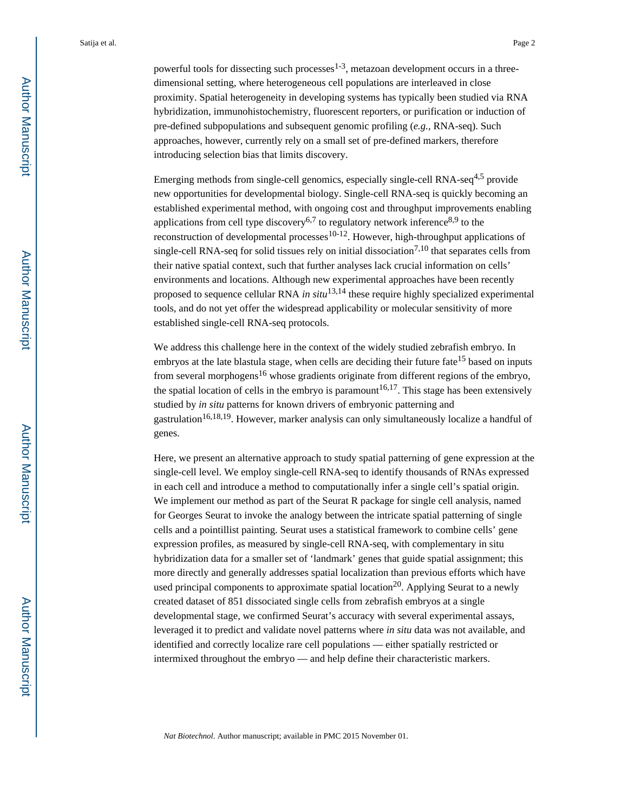Emerging methods from single-cell genomics, especially single-cell RNA-seq<sup>4,5</sup> provide new opportunities for developmental biology. Single-cell RNA-seq is quickly becoming an established experimental method, with ongoing cost and throughput improvements enabling applications from cell type discovery<sup>6,7</sup> to regulatory network inference<sup>8,9</sup> to the reconstruction of developmental processes $10-12$ . However, high-throughput applications of single-cell RNA-seq for solid tissues rely on initial dissociation<sup>7,10</sup> that separates cells from their native spatial context, such that further analyses lack crucial information on cells' environments and locations. Although new experimental approaches have been recently proposed to sequence cellular RNA *in situ*13,14 these require highly specialized experimental tools, and do not yet offer the widespread applicability or molecular sensitivity of more established single-cell RNA-seq protocols.

We address this challenge here in the context of the widely studied zebrafish embryo. In embryos at the late blastula stage, when cells are deciding their future fate<sup>15</sup> based on inputs from several morphogens<sup>16</sup> whose gradients originate from different regions of the embryo, the spatial location of cells in the embryo is paramount<sup>16,17</sup>. This stage has been extensively studied by *in situ* patterns for known drivers of embryonic patterning and gastrulation<sup>16,18,19</sup>. However, marker analysis can only simultaneously localize a handful of genes.

Here, we present an alternative approach to study spatial patterning of gene expression at the single-cell level. We employ single-cell RNA-seq to identify thousands of RNAs expressed in each cell and introduce a method to computationally infer a single cell's spatial origin. We implement our method as part of the Seurat R package for single cell analysis, named for Georges Seurat to invoke the analogy between the intricate spatial patterning of single cells and a pointillist painting. Seurat uses a statistical framework to combine cells' gene expression profiles, as measured by single-cell RNA-seq, with complementary in situ hybridization data for a smaller set of 'landmark' genes that guide spatial assignment; this more directly and generally addresses spatial localization than previous efforts which have used principal components to approximate spatial location<sup>20</sup>. Applying Seurat to a newly created dataset of 851 dissociated single cells from zebrafish embryos at a single developmental stage, we confirmed Seurat's accuracy with several experimental assays, leveraged it to predict and validate novel patterns where *in situ* data was not available, and identified and correctly localize rare cell populations — either spatially restricted or intermixed throughout the embryo — and help define their characteristic markers.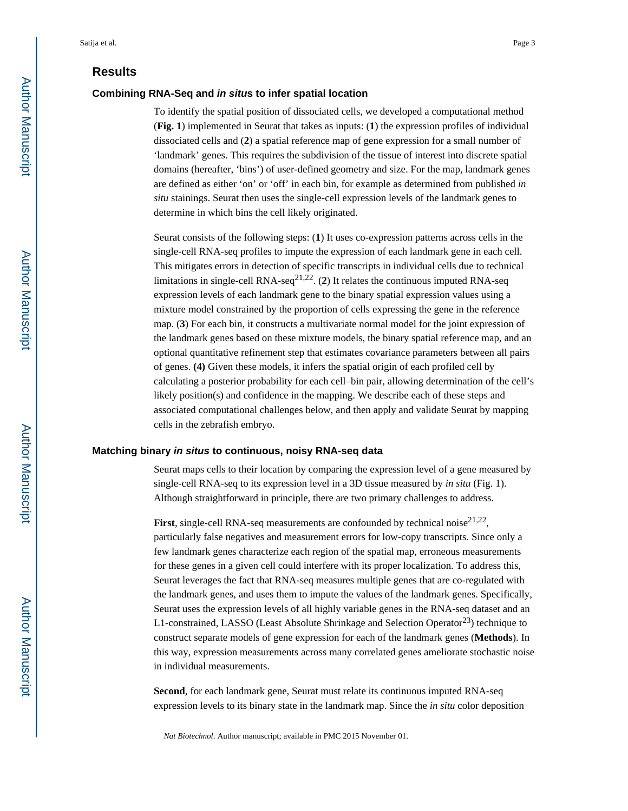### **Results**

#### **Combining RNA-Seq and in situs to infer spatial location**

To identify the spatial position of dissociated cells, we developed a computational method (**Fig. 1**) implemented in Seurat that takes as inputs: (**1**) the expression profiles of individual dissociated cells and (**2**) a spatial reference map of gene expression for a small number of 'landmark' genes. This requires the subdivision of the tissue of interest into discrete spatial domains (hereafter, 'bins') of user-defined geometry and size. For the map, landmark genes are defined as either 'on' or 'off' in each bin, for example as determined from published *in situ* stainings. Seurat then uses the single-cell expression levels of the landmark genes to determine in which bins the cell likely originated.

Seurat consists of the following steps: (**1**) It uses co-expression patterns across cells in the single-cell RNA-seq profiles to impute the expression of each landmark gene in each cell. This mitigates errors in detection of specific transcripts in individual cells due to technical limitations in single-cell RNA-seq<sup>21,22</sup>. (2) It relates the continuous imputed RNA-seq expression levels of each landmark gene to the binary spatial expression values using a mixture model constrained by the proportion of cells expressing the gene in the reference map. (**3**) For each bin, it constructs a multivariate normal model for the joint expression of the landmark genes based on these mixture models, the binary spatial reference map, and an optional quantitative refinement step that estimates covariance parameters between all pairs of genes. **(4)** Given these models, it infers the spatial origin of each profiled cell by calculating a posterior probability for each cell–bin pair, allowing determination of the cell's likely position(s) and confidence in the mapping. We describe each of these steps and associated computational challenges below, and then apply and validate Seurat by mapping cells in the zebrafish embryo.

#### **Matching binary in situs to continuous, noisy RNA-seq data**

Seurat maps cells to their location by comparing the expression level of a gene measured by single-cell RNA-seq to its expression level in a 3D tissue measured by *in situ* (Fig. 1). Although straightforward in principle, there are two primary challenges to address.

**First**, single-cell RNA-seq measurements are confounded by technical noise $2^{1,22}$ , particularly false negatives and measurement errors for low-copy transcripts. Since only a few landmark genes characterize each region of the spatial map, erroneous measurements for these genes in a given cell could interfere with its proper localization. To address this, Seurat leverages the fact that RNA-seq measures multiple genes that are co-regulated with the landmark genes, and uses them to impute the values of the landmark genes. Specifically, Seurat uses the expression levels of all highly variable genes in the RNA-seq dataset and an L1-constrained, LASSO (Least Absolute Shrinkage and Selection Operator<sup>23</sup>) technique to construct separate models of gene expression for each of the landmark genes (**Methods**). In this way, expression measurements across many correlated genes ameliorate stochastic noise in individual measurements.

**Second**, for each landmark gene, Seurat must relate its continuous imputed RNA-seq expression levels to its binary state in the landmark map. Since the *in situ* color deposition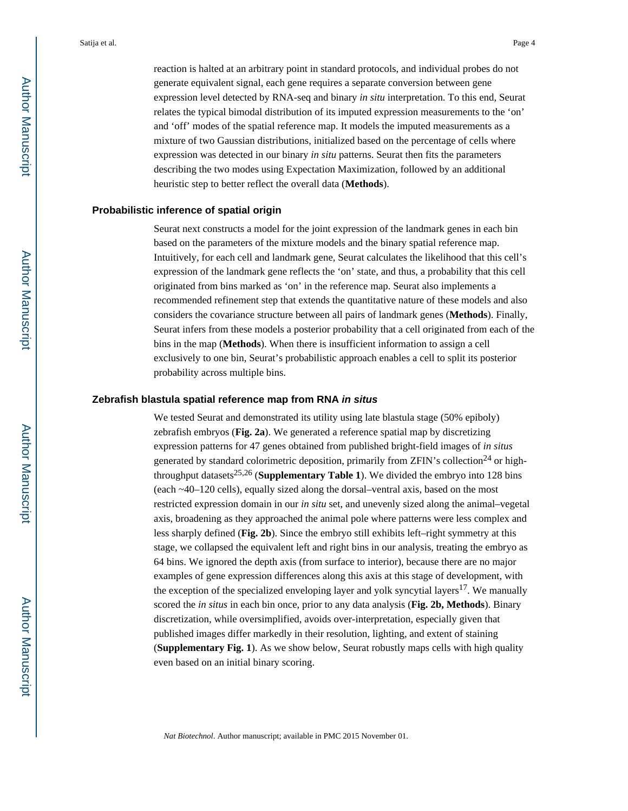reaction is halted at an arbitrary point in standard protocols, and individual probes do not generate equivalent signal, each gene requires a separate conversion between gene expression level detected by RNA-seq and binary *in situ* interpretation. To this end, Seurat relates the typical bimodal distribution of its imputed expression measurements to the 'on' and 'off' modes of the spatial reference map. It models the imputed measurements as a mixture of two Gaussian distributions, initialized based on the percentage of cells where expression was detected in our binary *in situ* patterns. Seurat then fits the parameters describing the two modes using Expectation Maximization, followed by an additional heuristic step to better reflect the overall data (**Methods**).

#### **Probabilistic inference of spatial origin**

Seurat next constructs a model for the joint expression of the landmark genes in each bin based on the parameters of the mixture models and the binary spatial reference map. Intuitively, for each cell and landmark gene, Seurat calculates the likelihood that this cell's expression of the landmark gene reflects the 'on' state, and thus, a probability that this cell originated from bins marked as 'on' in the reference map. Seurat also implements a recommended refinement step that extends the quantitative nature of these models and also considers the covariance structure between all pairs of landmark genes (**Methods**). Finally, Seurat infers from these models a posterior probability that a cell originated from each of the bins in the map (**Methods**). When there is insufficient information to assign a cell exclusively to one bin, Seurat's probabilistic approach enables a cell to split its posterior probability across multiple bins.

#### **Zebrafish blastula spatial reference map from RNA in situs**

We tested Seurat and demonstrated its utility using late blastula stage (50% epiboly) zebrafish embryos (**Fig. 2a**). We generated a reference spatial map by discretizing expression patterns for 47 genes obtained from published bright-field images of *in situs*  generated by standard colorimetric deposition, primarily from ZFIN's collection<sup>24</sup> or highthroughput datasets<sup>25,26</sup> (**Supplementary Table 1**). We divided the embryo into 128 bins (each ~40–120 cells), equally sized along the dorsal–ventral axis, based on the most restricted expression domain in our *in situ* set, and unevenly sized along the animal–vegetal axis, broadening as they approached the animal pole where patterns were less complex and less sharply defined (**Fig. 2b**). Since the embryo still exhibits left–right symmetry at this stage, we collapsed the equivalent left and right bins in our analysis, treating the embryo as 64 bins. We ignored the depth axis (from surface to interior), because there are no major examples of gene expression differences along this axis at this stage of development, with the exception of the specialized enveloping layer and yolk syncytial layers<sup>17</sup>. We manually scored the *in situs* in each bin once, prior to any data analysis (**Fig. 2b, Methods**). Binary discretization, while oversimplified, avoids over-interpretation, especially given that published images differ markedly in their resolution, lighting, and extent of staining (**Supplementary Fig. 1**). As we show below, Seurat robustly maps cells with high quality even based on an initial binary scoring.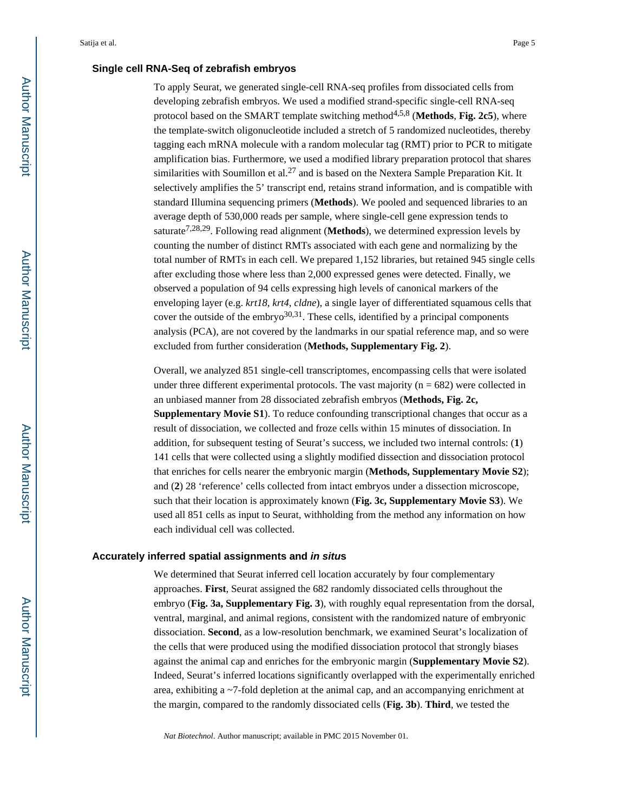#### **Single cell RNA-Seq of zebrafish embryos**

To apply Seurat, we generated single-cell RNA-seq profiles from dissociated cells from developing zebrafish embryos. We used a modified strand-specific single-cell RNA-seq protocol based on the SMART template switching method<sup>4,5,8</sup> (Methods, Fig. 2c5), where the template-switch oligonucleotide included a stretch of 5 randomized nucleotides, thereby tagging each mRNA molecule with a random molecular tag (RMT) prior to PCR to mitigate amplification bias. Furthermore, we used a modified library preparation protocol that shares similarities with Soumillon et al.<sup>27</sup> and is based on the Nextera Sample Preparation Kit. It selectively amplifies the 5' transcript end, retains strand information, and is compatible with standard Illumina sequencing primers (**Methods**). We pooled and sequenced libraries to an average depth of 530,000 reads per sample, where single-cell gene expression tends to saturate<sup>7,28,29</sup>. Following read alignment (**Methods**), we determined expression levels by counting the number of distinct RMTs associated with each gene and normalizing by the total number of RMTs in each cell. We prepared 1,152 libraries, but retained 945 single cells after excluding those where less than 2,000 expressed genes were detected. Finally, we observed a population of 94 cells expressing high levels of canonical markers of the enveloping layer (e.g. *krt18*, *krt4*, *cldne*), a single layer of differentiated squamous cells that cover the outside of the embryo $30,31$ . These cells, identified by a principal components analysis (PCA), are not covered by the landmarks in our spatial reference map, and so were excluded from further consideration (**Methods, Supplementary Fig. 2**).

Overall, we analyzed 851 single-cell transcriptomes, encompassing cells that were isolated under three different experimental protocols. The vast majority ( $n = 682$ ) were collected in an unbiased manner from 28 dissociated zebrafish embryos (**Methods, Fig. 2c, Supplementary Movie S1**). To reduce confounding transcriptional changes that occur as a result of dissociation, we collected and froze cells within 15 minutes of dissociation. In addition, for subsequent testing of Seurat's success, we included two internal controls: (**1**) 141 cells that were collected using a slightly modified dissection and dissociation protocol that enriches for cells nearer the embryonic margin (**Methods, Supplementary Movie S2**); and (**2**) 28 'reference' cells collected from intact embryos under a dissection microscope, such that their location is approximately known (**Fig. 3c, Supplementary Movie S3**). We used all 851 cells as input to Seurat, withholding from the method any information on how each individual cell was collected.

#### **Accurately inferred spatial assignments and in situs**

We determined that Seurat inferred cell location accurately by four complementary approaches. **First**, Seurat assigned the 682 randomly dissociated cells throughout the embryo (**Fig. 3a, Supplementary Fig. 3**), with roughly equal representation from the dorsal, ventral, marginal, and animal regions, consistent with the randomized nature of embryonic dissociation. **Second**, as a low-resolution benchmark, we examined Seurat's localization of the cells that were produced using the modified dissociation protocol that strongly biases against the animal cap and enriches for the embryonic margin (**Supplementary Movie S2**). Indeed, Seurat's inferred locations significantly overlapped with the experimentally enriched area, exhibiting a ~7-fold depletion at the animal cap, and an accompanying enrichment at the margin, compared to the randomly dissociated cells (**Fig. 3b**). **Third**, we tested the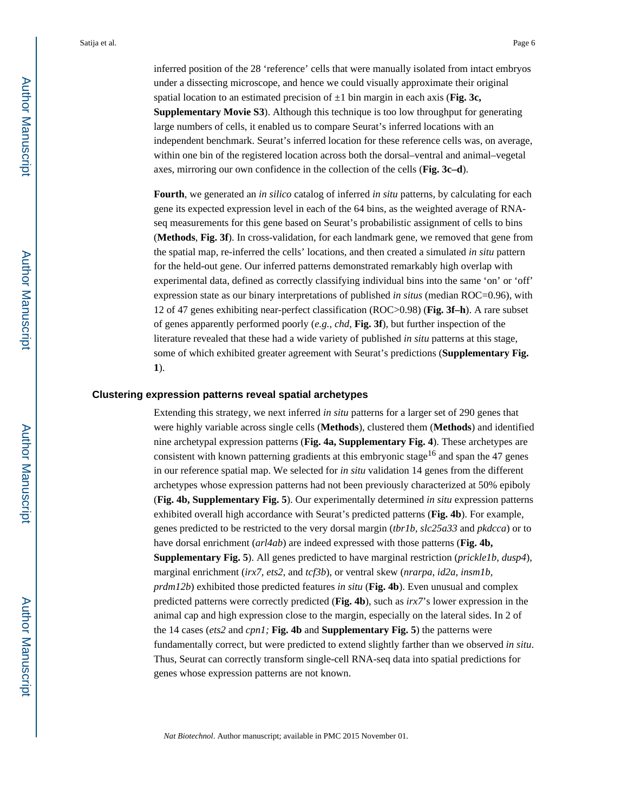inferred position of the 28 'reference' cells that were manually isolated from intact embryos under a dissecting microscope, and hence we could visually approximate their original spatial location to an estimated precision of  $\pm 1$  bin margin in each axis (**Fig. 3c, Supplementary Movie S3**). Although this technique is too low throughput for generating large numbers of cells, it enabled us to compare Seurat's inferred locations with an independent benchmark. Seurat's inferred location for these reference cells was, on average, within one bin of the registered location across both the dorsal–ventral and animal–vegetal axes, mirroring our own confidence in the collection of the cells (**Fig. 3c–d**).

**Fourth**, we generated an *in silico* catalog of inferred *in situ* patterns, by calculating for each gene its expected expression level in each of the 64 bins, as the weighted average of RNAseq measurements for this gene based on Seurat's probabilistic assignment of cells to bins (**Methods**, **Fig. 3f**). In cross-validation, for each landmark gene, we removed that gene from the spatial map, re-inferred the cells' locations, and then created a simulated *in situ* pattern for the held-out gene. Our inferred patterns demonstrated remarkably high overlap with experimental data, defined as correctly classifying individual bins into the same 'on' or 'off' expression state as our binary interpretations of published *in situs* (median ROC=0.96), with 12 of 47 genes exhibiting near-perfect classification (ROC>0.98) (**Fig. 3f–h**). A rare subset of genes apparently performed poorly (*e.g.*, *chd*, **Fig. 3f**), but further inspection of the literature revealed that these had a wide variety of published *in situ* patterns at this stage, some of which exhibited greater agreement with Seurat's predictions (**Supplementary Fig. 1**).

#### **Clustering expression patterns reveal spatial archetypes**

Extending this strategy, we next inferred *in situ* patterns for a larger set of 290 genes that were highly variable across single cells (**Methods**), clustered them (**Methods**) and identified nine archetypal expression patterns (**Fig. 4a, Supplementary Fig. 4**). These archetypes are consistent with known patterning gradients at this embryonic stage<sup>16</sup> and span the 47 genes in our reference spatial map. We selected for *in situ* validation 14 genes from the different archetypes whose expression patterns had not been previously characterized at 50% epiboly (**Fig. 4b, Supplementary Fig. 5**). Our experimentally determined *in situ* expression patterns exhibited overall high accordance with Seurat's predicted patterns (**Fig. 4b**). For example, genes predicted to be restricted to the very dorsal margin (*tbr1b, slc25a33* and *pkdcca*) or to have dorsal enrichment (*arl4ab*) are indeed expressed with those patterns (**Fig. 4b, Supplementary Fig. 5**). All genes predicted to have marginal restriction (*prickle1b*, *dusp4*), marginal enrichment (*irx7*, *ets2*, and *tcf3b*), or ventral skew (*nrarpa*, *id2a*, *insm1b, prdm12b*) exhibited those predicted features *in situ* (**Fig. 4b**). Even unusual and complex predicted patterns were correctly predicted (**Fig. 4b**), such as *irx7*'s lower expression in the animal cap and high expression close to the margin, especially on the lateral sides. In 2 of the 14 cases (*ets2* and *cpn1;* **Fig. 4b** and **Supplementary Fig. 5**) the patterns were fundamentally correct, but were predicted to extend slightly farther than we observed *in situ*. Thus, Seurat can correctly transform single-cell RNA-seq data into spatial predictions for genes whose expression patterns are not known.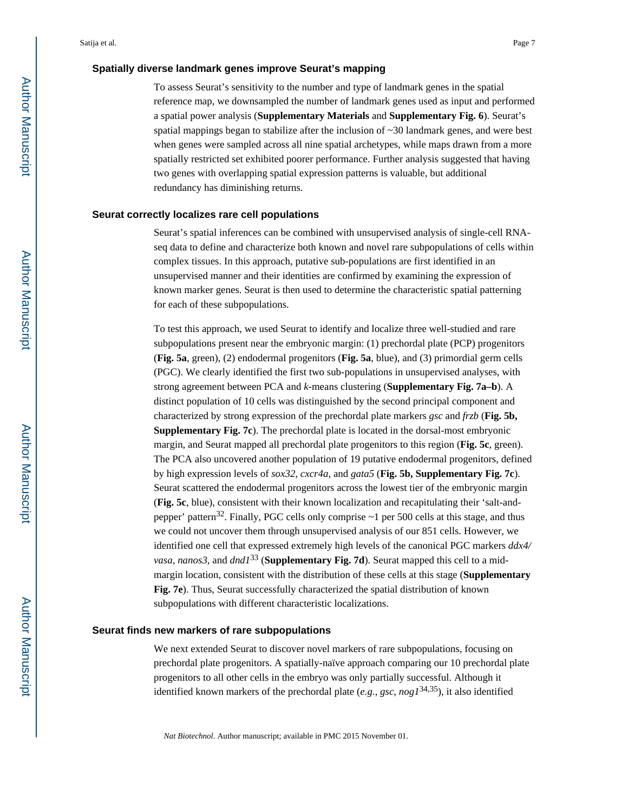#### **Spatially diverse landmark genes improve Seurat's mapping**

To assess Seurat's sensitivity to the number and type of landmark genes in the spatial reference map, we downsampled the number of landmark genes used as input and performed a spatial power analysis (**Supplementary Materials** and **Supplementary Fig. 6**). Seurat's spatial mappings began to stabilize after the inclusion of ~30 landmark genes, and were best when genes were sampled across all nine spatial archetypes, while maps drawn from a more spatially restricted set exhibited poorer performance. Further analysis suggested that having two genes with overlapping spatial expression patterns is valuable, but additional redundancy has diminishing returns.

#### **Seurat correctly localizes rare cell populations**

Seurat's spatial inferences can be combined with unsupervised analysis of single-cell RNAseq data to define and characterize both known and novel rare subpopulations of cells within complex tissues. In this approach, putative sub-populations are first identified in an unsupervised manner and their identities are confirmed by examining the expression of known marker genes. Seurat is then used to determine the characteristic spatial patterning for each of these subpopulations.

To test this approach, we used Seurat to identify and localize three well-studied and rare subpopulations present near the embryonic margin: (1) prechordal plate (PCP) progenitors (**Fig. 5a**, green), (2) endodermal progenitors (**Fig. 5a**, blue), and (3) primordial germ cells (PGC). We clearly identified the first two sub-populations in unsupervised analyses, with strong agreement between PCA and *k*-means clustering (**Supplementary Fig. 7a–b**). A distinct population of 10 cells was distinguished by the second principal component and characterized by strong expression of the prechordal plate markers *gsc* and *frzb* (**Fig. 5b, Supplementary Fig. 7c**). The prechordal plate is located in the dorsal-most embryonic margin, and Seurat mapped all prechordal plate progenitors to this region (**Fig. 5c**, green). The PCA also uncovered another population of 19 putative endodermal progenitors, defined by high expression levels of *sox32*, *cxcr4a*, and *gata5* (**Fig. 5b, Supplementary Fig. 7c**). Seurat scattered the endodermal progenitors across the lowest tier of the embryonic margin (**Fig. 5c**, blue), consistent with their known localization and recapitulating their 'salt-andpepper' pattern<sup>32</sup>. Finally, PGC cells only comprise  $\sim$ 1 per 500 cells at this stage, and thus we could not uncover them through unsupervised analysis of our 851 cells. However, we identified one cell that expressed extremely high levels of the canonical PGC markers *ddx4/ vasa*, *nanos3*, and *dnd1*33 (**Supplementary Fig. 7d**). Seurat mapped this cell to a midmargin location, consistent with the distribution of these cells at this stage (**Supplementary Fig. 7e**). Thus, Seurat successfully characterized the spatial distribution of known subpopulations with different characteristic localizations.

#### **Seurat finds new markers of rare subpopulations**

We next extended Seurat to discover novel markers of rare subpopulations, focusing on prechordal plate progenitors. A spatially-naïve approach comparing our 10 prechordal plate progenitors to all other cells in the embryo was only partially successful. Although it identified known markers of the prechordal plate (*e.g.*, *gsc*, *nog1*34,35), it also identified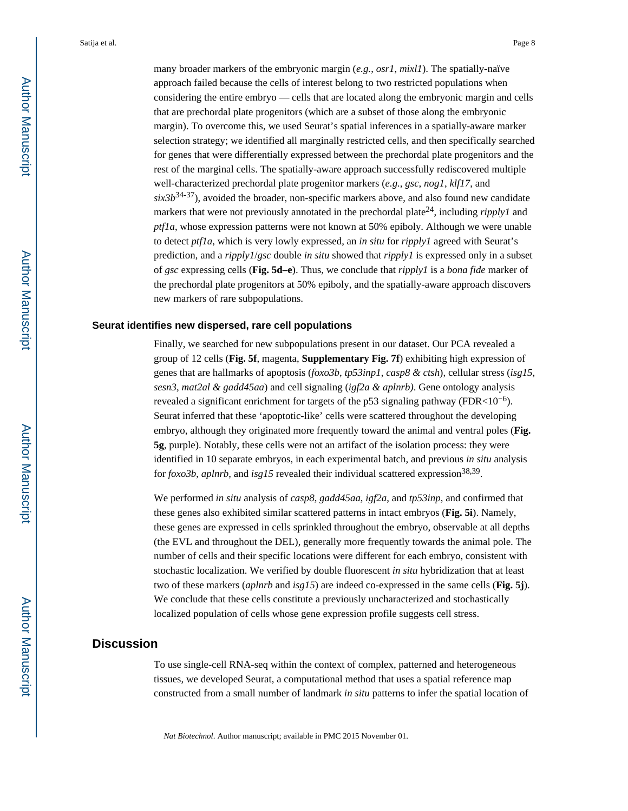many broader markers of the embryonic margin (*e.g.*, *osr1*, *mixl1*). The spatially-naïve approach failed because the cells of interest belong to two restricted populations when considering the entire embryo — cells that are located along the embryonic margin and cells that are prechordal plate progenitors (which are a subset of those along the embryonic margin). To overcome this, we used Seurat's spatial inferences in a spatially-aware marker selection strategy; we identified all marginally restricted cells, and then specifically searched for genes that were differentially expressed between the prechordal plate progenitors and the rest of the marginal cells. The spatially-aware approach successfully rediscovered multiple well-characterized prechordal plate progenitor markers (*e.g.*, *gsc*, *nog1*, *klf17*, and  $six3b^{34-37}$ ), avoided the broader, non-specific markers above, and also found new candidate markers that were not previously annotated in the prechordal plate<sup>24</sup>, including *ripply1* and *ptf1a*, whose expression patterns were not known at 50% epiboly. Although we were unable to detect *ptf1a*, which is very lowly expressed, an *in situ* for *ripply1* agreed with Seurat's prediction, and a *ripply1*/*gsc* double *in situ* showed that *ripply1* is expressed only in a subset of *gsc* expressing cells (**Fig. 5d–e**). Thus, we conclude that *ripply1* is a *bona fide* marker of the prechordal plate progenitors at 50% epiboly, and the spatially-aware approach discovers new markers of rare subpopulations.

#### **Seurat identifies new dispersed, rare cell populations**

Finally, we searched for new subpopulations present in our dataset. Our PCA revealed a group of 12 cells (**Fig. 5f**, magenta, **Supplementary Fig. 7f**) exhibiting high expression of genes that are hallmarks of apoptosis (*foxo3b*, *tp53inp1*, *casp8 & ctsh*), cellular stress (*isg15*, *sesn3*, *mat2al & gadd45aa*) and cell signaling (*igf2a & aplnrb)*. Gene ontology analysis revealed a significant enrichment for targets of the p53 signaling pathway (FDR<10<sup>-6</sup>). Seurat inferred that these 'apoptotic-like' cells were scattered throughout the developing embryo, although they originated more frequently toward the animal and ventral poles (**Fig. 5g**, purple). Notably, these cells were not an artifact of the isolation process: they were identified in 10 separate embryos, in each experimental batch, and previous *in situ* analysis for *foxo3b*, *aplnrb*, and *isg15* revealed their individual scattered expression<sup>38,39</sup>.

We performed *in situ* analysis of *casp8*, *gadd45aa*, *igf2a*, and *tp53inp*, and confirmed that these genes also exhibited similar scattered patterns in intact embryos (**Fig. 5i**). Namely, these genes are expressed in cells sprinkled throughout the embryo, observable at all depths (the EVL and throughout the DEL), generally more frequently towards the animal pole. The number of cells and their specific locations were different for each embryo, consistent with stochastic localization. We verified by double fluorescent *in situ* hybridization that at least two of these markers (*aplnrb* and *isg15*) are indeed co-expressed in the same cells (**Fig. 5j**). We conclude that these cells constitute a previously uncharacterized and stochastically localized population of cells whose gene expression profile suggests cell stress.

## **Discussion**

To use single-cell RNA-seq within the context of complex, patterned and heterogeneous tissues, we developed Seurat, a computational method that uses a spatial reference map constructed from a small number of landmark *in situ* patterns to infer the spatial location of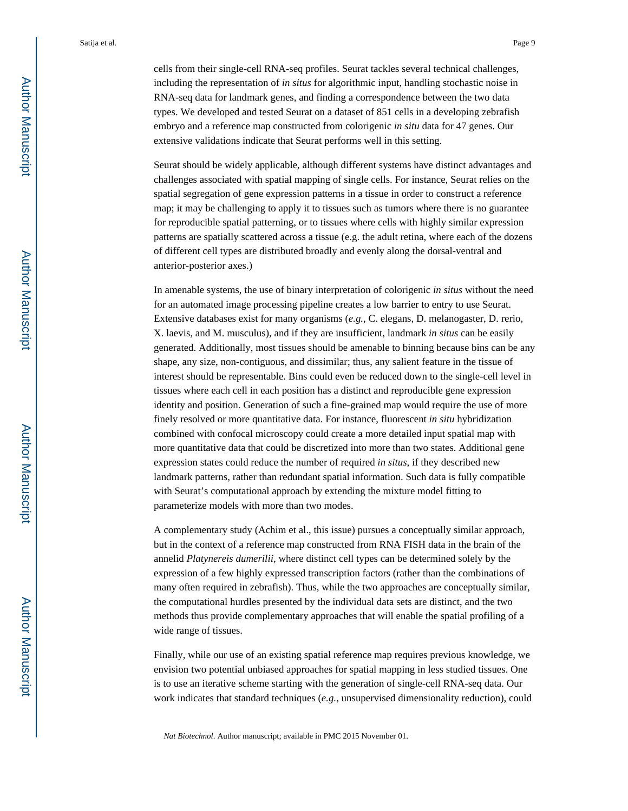cells from their single-cell RNA-seq profiles. Seurat tackles several technical challenges, including the representation of *in situs* for algorithmic input, handling stochastic noise in RNA-seq data for landmark genes, and finding a correspondence between the two data types. We developed and tested Seurat on a dataset of 851 cells in a developing zebrafish embryo and a reference map constructed from colorigenic *in situ* data for 47 genes. Our extensive validations indicate that Seurat performs well in this setting.

Seurat should be widely applicable, although different systems have distinct advantages and challenges associated with spatial mapping of single cells. For instance, Seurat relies on the spatial segregation of gene expression patterns in a tissue in order to construct a reference map; it may be challenging to apply it to tissues such as tumors where there is no guarantee for reproducible spatial patterning, or to tissues where cells with highly similar expression patterns are spatially scattered across a tissue (e.g. the adult retina, where each of the dozens of different cell types are distributed broadly and evenly along the dorsal-ventral and anterior-posterior axes.)

In amenable systems, the use of binary interpretation of colorigenic *in situs* without the need for an automated image processing pipeline creates a low barrier to entry to use Seurat. Extensive databases exist for many organisms (*e.g.*, C. elegans, D. melanogaster, D. rerio, X. laevis, and M. musculus), and if they are insufficient, landmark *in situs* can be easily generated. Additionally, most tissues should be amenable to binning because bins can be any shape, any size, non-contiguous, and dissimilar; thus, any salient feature in the tissue of interest should be representable. Bins could even be reduced down to the single-cell level in tissues where each cell in each position has a distinct and reproducible gene expression identity and position. Generation of such a fine-grained map would require the use of more finely resolved or more quantitative data. For instance, fluorescent *in situ* hybridization combined with confocal microscopy could create a more detailed input spatial map with more quantitative data that could be discretized into more than two states. Additional gene expression states could reduce the number of required *in situs*, if they described new landmark patterns, rather than redundant spatial information. Such data is fully compatible with Seurat's computational approach by extending the mixture model fitting to parameterize models with more than two modes.

A complementary study (Achim et al., this issue) pursues a conceptually similar approach, but in the context of a reference map constructed from RNA FISH data in the brain of the annelid *Platynereis dumerilii*, where distinct cell types can be determined solely by the expression of a few highly expressed transcription factors (rather than the combinations of many often required in zebrafish). Thus, while the two approaches are conceptually similar, the computational hurdles presented by the individual data sets are distinct, and the two methods thus provide complementary approaches that will enable the spatial profiling of a wide range of tissues.

Finally, while our use of an existing spatial reference map requires previous knowledge, we envision two potential unbiased approaches for spatial mapping in less studied tissues. One is to use an iterative scheme starting with the generation of single-cell RNA-seq data. Our work indicates that standard techniques (*e.g.*, unsupervised dimensionality reduction), could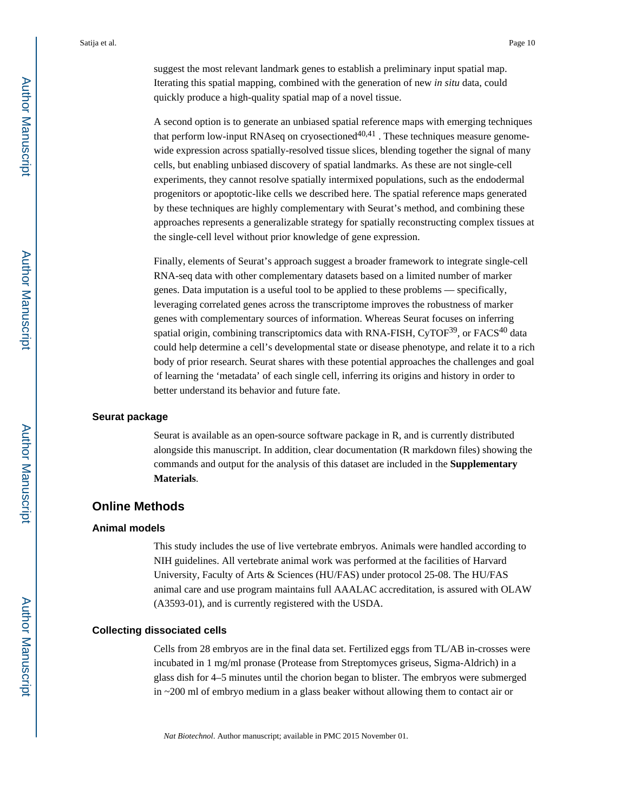suggest the most relevant landmark genes to establish a preliminary input spatial map. Iterating this spatial mapping, combined with the generation of new *in situ* data, could quickly produce a high-quality spatial map of a novel tissue.

A second option is to generate an unbiased spatial reference maps with emerging techniques that perform low-input RNAseq on cryosectioned $40,41$ . These techniques measure genomewide expression across spatially-resolved tissue slices, blending together the signal of many cells, but enabling unbiased discovery of spatial landmarks. As these are not single-cell experiments, they cannot resolve spatially intermixed populations, such as the endodermal progenitors or apoptotic-like cells we described here. The spatial reference maps generated by these techniques are highly complementary with Seurat's method, and combining these approaches represents a generalizable strategy for spatially reconstructing complex tissues at the single-cell level without prior knowledge of gene expression.

Finally, elements of Seurat's approach suggest a broader framework to integrate single-cell RNA-seq data with other complementary datasets based on a limited number of marker genes. Data imputation is a useful tool to be applied to these problems — specifically, leveraging correlated genes across the transcriptome improves the robustness of marker genes with complementary sources of information. Whereas Seurat focuses on inferring spatial origin, combining transcriptomics data with RNA-FISH, CyTOF<sup>39</sup>, or FACS<sup>40</sup> data could help determine a cell's developmental state or disease phenotype, and relate it to a rich body of prior research. Seurat shares with these potential approaches the challenges and goal of learning the 'metadata' of each single cell, inferring its origins and history in order to better understand its behavior and future fate.

#### **Seurat package**

Seurat is available as an open-source software package in R, and is currently distributed alongside this manuscript. In addition, clear documentation (R markdown files) showing the commands and output for the analysis of this dataset are included in the **Supplementary Materials**.

## **Online Methods**

#### **Animal models**

This study includes the use of live vertebrate embryos. Animals were handled according to NIH guidelines. All vertebrate animal work was performed at the facilities of Harvard University, Faculty of Arts & Sciences (HU/FAS) under protocol 25-08. The HU/FAS animal care and use program maintains full AAALAC accreditation, is assured with OLAW (A3593-01), and is currently registered with the USDA.

#### **Collecting dissociated cells**

Cells from 28 embryos are in the final data set. Fertilized eggs from TL/AB in-crosses were incubated in 1 mg/ml pronase (Protease from Streptomyces griseus, Sigma-Aldrich) in a glass dish for 4–5 minutes until the chorion began to blister. The embryos were submerged in ~200 ml of embryo medium in a glass beaker without allowing them to contact air or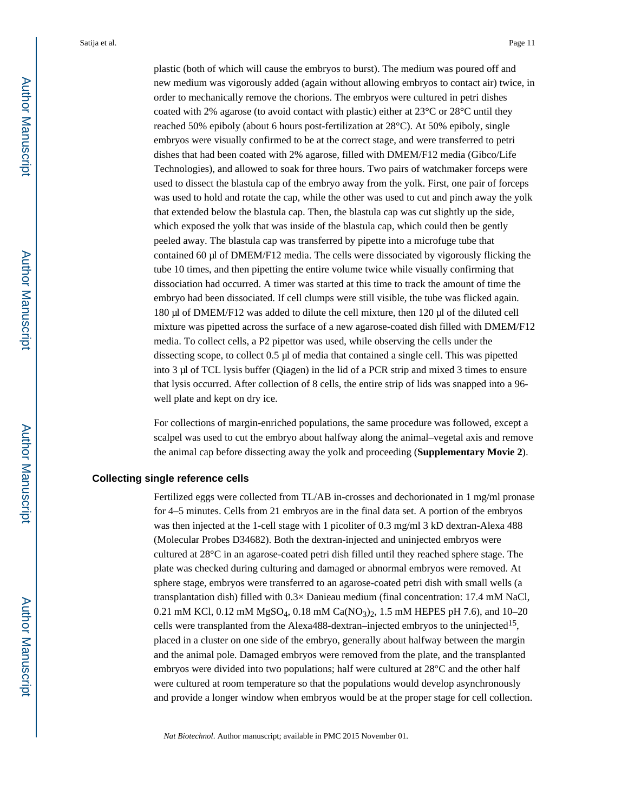plastic (both of which will cause the embryos to burst). The medium was poured off and new medium was vigorously added (again without allowing embryos to contact air) twice, in order to mechanically remove the chorions. The embryos were cultured in petri dishes coated with 2% agarose (to avoid contact with plastic) either at 23°C or 28°C until they reached 50% epiboly (about 6 hours post-fertilization at 28°C). At 50% epiboly, single embryos were visually confirmed to be at the correct stage, and were transferred to petri dishes that had been coated with 2% agarose, filled with DMEM/F12 media (Gibco/Life Technologies), and allowed to soak for three hours. Two pairs of watchmaker forceps were used to dissect the blastula cap of the embryo away from the yolk. First, one pair of forceps was used to hold and rotate the cap, while the other was used to cut and pinch away the yolk that extended below the blastula cap. Then, the blastula cap was cut slightly up the side, which exposed the yolk that was inside of the blastula cap, which could then be gently peeled away. The blastula cap was transferred by pipette into a microfuge tube that contained 60  $\mu$ l of DMEM/F12 media. The cells were dissociated by vigorously flicking the tube 10 times, and then pipetting the entire volume twice while visually confirming that dissociation had occurred. A timer was started at this time to track the amount of time the embryo had been dissociated. If cell clumps were still visible, the tube was flicked again. 180 µl of DMEM/F12 was added to dilute the cell mixture, then 120 µl of the diluted cell mixture was pipetted across the surface of a new agarose-coated dish filled with DMEM/F12 media. To collect cells, a P2 pipettor was used, while observing the cells under the dissecting scope, to collect 0.5 µl of media that contained a single cell. This was pipetted into 3 µl of TCL lysis buffer (Qiagen) in the lid of a PCR strip and mixed 3 times to ensure that lysis occurred. After collection of 8 cells, the entire strip of lids was snapped into a 96 well plate and kept on dry ice.

For collections of margin-enriched populations, the same procedure was followed, except a scalpel was used to cut the embryo about halfway along the animal–vegetal axis and remove the animal cap before dissecting away the yolk and proceeding (**Supplementary Movie 2**).

#### **Collecting single reference cells**

Fertilized eggs were collected from TL/AB in-crosses and dechorionated in 1 mg/ml pronase for 4–5 minutes. Cells from 21 embryos are in the final data set. A portion of the embryos was then injected at the 1-cell stage with 1 picoliter of 0.3 mg/ml 3 kD dextran-Alexa 488 (Molecular Probes D34682). Both the dextran-injected and uninjected embryos were cultured at 28°C in an agarose-coated petri dish filled until they reached sphere stage. The plate was checked during culturing and damaged or abnormal embryos were removed. At sphere stage, embryos were transferred to an agarose-coated petri dish with small wells (a transplantation dish) filled with 0.3× Danieau medium (final concentration: 17.4 mM NaCl, 0.21 mM KCl, 0.12 mM MgSO<sub>4</sub>, 0.18 mM Ca(NO<sub>3</sub>)<sub>2</sub>, 1.5 mM HEPES pH 7.6), and 10–20 cells were transplanted from the Alexa488-dextran–injected embryos to the uninjected<sup>15</sup>, placed in a cluster on one side of the embryo, generally about halfway between the margin and the animal pole. Damaged embryos were removed from the plate, and the transplanted embryos were divided into two populations; half were cultured at 28°C and the other half were cultured at room temperature so that the populations would develop asynchronously and provide a longer window when embryos would be at the proper stage for cell collection.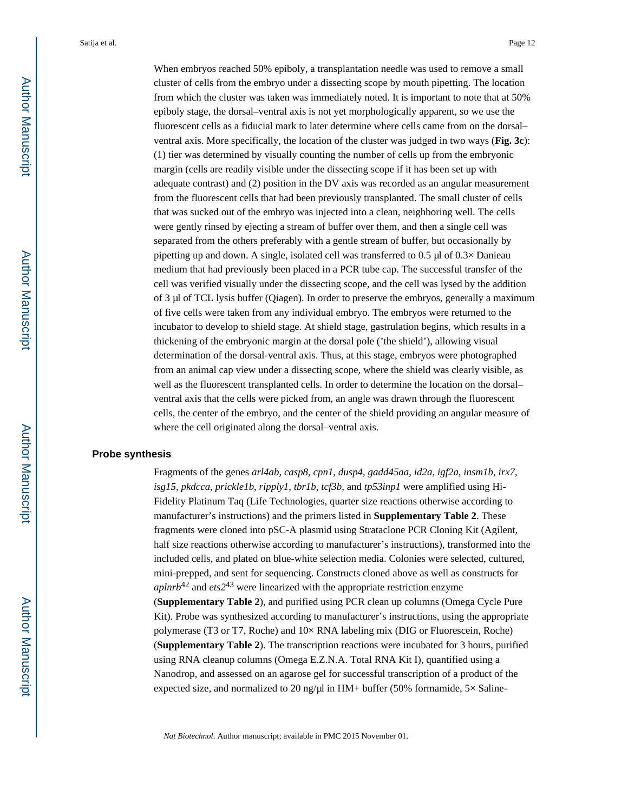When embryos reached 50% epiboly, a transplantation needle was used to remove a small cluster of cells from the embryo under a dissecting scope by mouth pipetting. The location from which the cluster was taken was immediately noted. It is important to note that at 50% epiboly stage, the dorsal–ventral axis is not yet morphologically apparent, so we use the fluorescent cells as a fiducial mark to later determine where cells came from on the dorsal– ventral axis. More specifically, the location of the cluster was judged in two ways (**Fig. 3c**): (1) tier was determined by visually counting the number of cells up from the embryonic margin (cells are readily visible under the dissecting scope if it has been set up with adequate contrast) and (2) position in the DV axis was recorded as an angular measurement from the fluorescent cells that had been previously transplanted. The small cluster of cells that was sucked out of the embryo was injected into a clean, neighboring well. The cells were gently rinsed by ejecting a stream of buffer over them, and then a single cell was separated from the others preferably with a gentle stream of buffer, but occasionally by pipetting up and down. A single, isolated cell was transferred to  $0.5 \mu$  of  $0.3 \times$  Danieau medium that had previously been placed in a PCR tube cap. The successful transfer of the cell was verified visually under the dissecting scope, and the cell was lysed by the addition of 3 µl of TCL lysis buffer (Qiagen). In order to preserve the embryos, generally a maximum of five cells were taken from any individual embryo. The embryos were returned to the incubator to develop to shield stage. At shield stage, gastrulation begins, which results in a thickening of the embryonic margin at the dorsal pole ('the shield'), allowing visual determination of the dorsal-ventral axis. Thus, at this stage, embryos were photographed from an animal cap view under a dissecting scope, where the shield was clearly visible, as well as the fluorescent transplanted cells. In order to determine the location on the dorsal– ventral axis that the cells were picked from, an angle was drawn through the fluorescent cells, the center of the embryo, and the center of the shield providing an angular measure of where the cell originated along the dorsal–ventral axis.

#### **Probe synthesis**

Fragments of the genes *arl4ab*, *casp8*, *cpn1*, *dusp4*, *gadd45aa*, *id2a*, *igf2a*, *insm1b*, *irx7*, *isg15*, *pkdcca*, *prickle1b*, *ripply1*, *tbr1b*, *tcf3b*, and *tp53inp1* were amplified using Hi-Fidelity Platinum Taq (Life Technologies, quarter size reactions otherwise according to manufacturer's instructions) and the primers listed in **Supplementary Table 2**. These fragments were cloned into pSC-A plasmid using Strataclone PCR Cloning Kit (Agilent, half size reactions otherwise according to manufacturer's instructions), transformed into the included cells, and plated on blue-white selection media. Colonies were selected, cultured, mini-prepped, and sent for sequencing. Constructs cloned above as well as constructs for *aplnrb*42 and *ets2*43 were linearized with the appropriate restriction enzyme (**Supplementary Table 2**), and purified using PCR clean up columns (Omega Cycle Pure Kit). Probe was synthesized according to manufacturer's instructions, using the appropriate polymerase (T3 or T7, Roche) and 10× RNA labeling mix (DIG or Fluorescein, Roche) (**Supplementary Table 2**). The transcription reactions were incubated for 3 hours, purified using RNA cleanup columns (Omega E.Z.N.A. Total RNA Kit I), quantified using a Nanodrop, and assessed on an agarose gel for successful transcription of a product of the expected size, and normalized to 20 ng/ $\mu$ l in HM+ buffer (50% formamide, 5× Saline-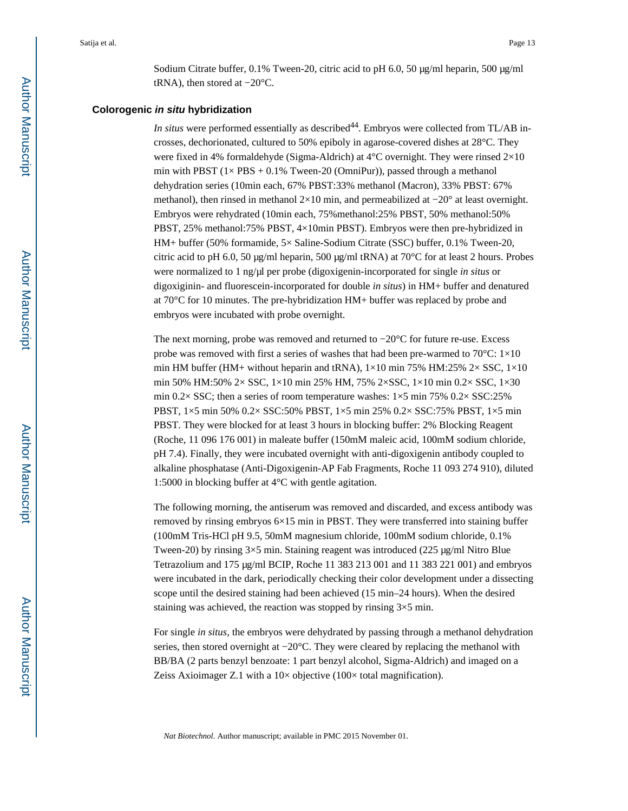Sodium Citrate buffer,  $0.1\%$  Tween-20, citric acid to pH 6.0, 50  $\mu$ g/ml heparin, 500  $\mu$ g/ml tRNA), then stored at −20°C.

#### **Colorogenic in situ hybridization**

*In situs* were performed essentially as described<sup>44</sup>. Embryos were collected from TL/AB incrosses, dechorionated, cultured to 50% epiboly in agarose-covered dishes at 28°C. They were fixed in 4% formaldehyde (Sigma-Aldrich) at 4°C overnight. They were rinsed 2×10 min with PBST  $(1 \times PBS + 0.1\%$  Tween-20 (OmniPur)), passed through a methanol dehydration series (10min each, 67% PBST:33% methanol (Macron), 33% PBST: 67% methanol), then rinsed in methanol 2×10 min, and permeabilized at −20° at least overnight. Embryos were rehydrated (10min each, 75%methanol:25% PBST, 50% methanol:50% PBST, 25% methanol:75% PBST, 4×10min PBST). Embryos were then pre-hybridized in HM+ buffer (50% formamide, 5× Saline-Sodium Citrate (SSC) buffer, 0.1% Tween-20, citric acid to pH 6.0, 50  $\mu$ g/ml heparin, 500  $\mu$ g/ml tRNA) at 70°C for at least 2 hours. Probes were normalized to 1 ng/µl per probe (digoxigenin-incorporated for single *in situs* or digoxiginin- and fluorescein-incorporated for double *in situs*) in HM+ buffer and denatured at 70°C for 10 minutes. The pre-hybridization HM+ buffer was replaced by probe and embryos were incubated with probe overnight.

The next morning, probe was removed and returned to −20°C for future re-use. Excess probe was removed with first a series of washes that had been pre-warmed to 70 $^{\circ}$ C: 1 $\times$ 10 min HM buffer (HM+ without heparin and tRNA),  $1 \times 10$  min 75% HM:25% 2 $\times$  SSC,  $1 \times 10$ min 50% HM:50% 2× SSC, 1×10 min 25% HM, 75% 2×SSC, 1×10 min 0.2× SSC, 1×30 min 0.2× SSC; then a series of room temperature washes:  $1\times5$  min 75% 0.2× SSC:25% PBST, 1×5 min 50% 0.2× SSC:50% PBST, 1×5 min 25% 0.2× SSC:75% PBST, 1×5 min PBST. They were blocked for at least 3 hours in blocking buffer: 2% Blocking Reagent (Roche, 11 096 176 001) in maleate buffer (150mM maleic acid, 100mM sodium chloride, pH 7.4). Finally, they were incubated overnight with anti-digoxigenin antibody coupled to alkaline phosphatase (Anti-Digoxigenin-AP Fab Fragments, Roche 11 093 274 910), diluted 1:5000 in blocking buffer at 4°C with gentle agitation.

The following morning, the antiserum was removed and discarded, and excess antibody was removed by rinsing embryos 6×15 min in PBST. They were transferred into staining buffer (100mM Tris-HCl pH 9.5, 50mM magnesium chloride, 100mM sodium chloride, 0.1% Tween-20) by rinsing  $3\times5$  min. Staining reagent was introduced (225 µg/ml Nitro Blue Tetrazolium and 175 µg/ml BCIP, Roche 11 383 213 001 and 11 383 221 001) and embryos were incubated in the dark, periodically checking their color development under a dissecting scope until the desired staining had been achieved (15 min–24 hours). When the desired staining was achieved, the reaction was stopped by rinsing  $3\times 5$  min.

For single *in situs*, the embryos were dehydrated by passing through a methanol dehydration series, then stored overnight at −20°C. They were cleared by replacing the methanol with BB/BA (2 parts benzyl benzoate: 1 part benzyl alcohol, Sigma-Aldrich) and imaged on a Zeiss Axioimager Z.1 with a  $10\times$  objective (100 $\times$  total magnification).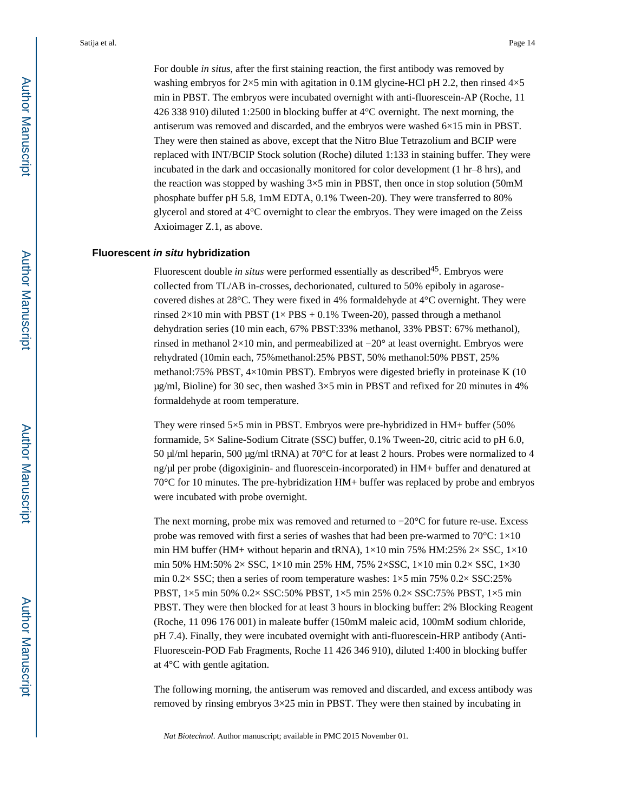For double *in situs*, after the first staining reaction, the first antibody was removed by washing embryos for  $2\times5$  min with agitation in 0.1M glycine-HCl pH 2.2, then rinsed  $4\times5$ min in PBST. The embryos were incubated overnight with anti-fluorescein-AP (Roche, 11 426 338 910) diluted 1:2500 in blocking buffer at 4°C overnight. The next morning, the antiserum was removed and discarded, and the embryos were washed 6×15 min in PBST. They were then stained as above, except that the Nitro Blue Tetrazolium and BCIP were replaced with INT/BCIP Stock solution (Roche) diluted 1:133 in staining buffer. They were incubated in the dark and occasionally monitored for color development (1 hr–8 hrs), and the reaction was stopped by washing  $3\times 5$  min in PBST, then once in stop solution (50mM phosphate buffer pH 5.8, 1mM EDTA, 0.1% Tween-20). They were transferred to 80% glycerol and stored at 4°C overnight to clear the embryos. They were imaged on the Zeiss Axioimager Z.1, as above.

#### **Fluorescent in situ hybridization**

Fluorescent double *in situs* were performed essentially as described<sup>45</sup>. Embryos were collected from TL/AB in-crosses, dechorionated, cultured to 50% epiboly in agarosecovered dishes at 28°C. They were fixed in 4% formaldehyde at 4°C overnight. They were rinsed  $2\times10$  min with PBST ( $1\times$  PBS + 0.1% Tween-20), passed through a methanol dehydration series (10 min each, 67% PBST:33% methanol, 33% PBST: 67% methanol), rinsed in methanol 2×10 min, and permeabilized at  $-20^\circ$  at least overnight. Embryos were rehydrated (10min each, 75%methanol:25% PBST, 50% methanol:50% PBST, 25% methanol:75% PBST, 4×10min PBST). Embryos were digested briefly in proteinase K (10  $\mu$ g/ml, Bioline) for 30 sec, then washed  $3\times 5$  min in PBST and refixed for 20 minutes in 4% formaldehyde at room temperature.

They were rinsed 5×5 min in PBST. Embryos were pre-hybridized in HM+ buffer (50% formamide, 5× Saline-Sodium Citrate (SSC) buffer, 0.1% Tween-20, citric acid to pH 6.0, 50  $\mu$ /ml heparin, 500  $\mu$ g/ml tRNA) at 70°C for at least 2 hours. Probes were normalized to 4 ng/µl per probe (digoxiginin- and fluorescein-incorporated) in HM+ buffer and denatured at 70°C for 10 minutes. The pre-hybridization HM+ buffer was replaced by probe and embryos were incubated with probe overnight.

The next morning, probe mix was removed and returned to −20°C for future re-use. Excess probe was removed with first a series of washes that had been pre-warmed to 70°C: 1×10 min HM buffer (HM+ without heparin and tRNA),  $1\times10$  min 75% HM:25% 2 $\times$  SSC,  $1\times10$ min 50% HM:50% 2× SSC, 1×10 min 25% HM, 75% 2×SSC, 1×10 min 0.2× SSC, 1×30 min 0.2× SSC; then a series of room temperature washes:  $1\times5$  min 75% 0.2× SSC:25% PBST, 1×5 min 50% 0.2× SSC:50% PBST, 1×5 min 25% 0.2× SSC:75% PBST, 1×5 min PBST. They were then blocked for at least 3 hours in blocking buffer: 2% Blocking Reagent (Roche, 11 096 176 001) in maleate buffer (150mM maleic acid, 100mM sodium chloride, pH 7.4). Finally, they were incubated overnight with anti-fluorescein-HRP antibody (Anti-Fluorescein-POD Fab Fragments, Roche 11 426 346 910), diluted 1:400 in blocking buffer at 4°C with gentle agitation.

The following morning, the antiserum was removed and discarded, and excess antibody was removed by rinsing embryos 3×25 min in PBST. They were then stained by incubating in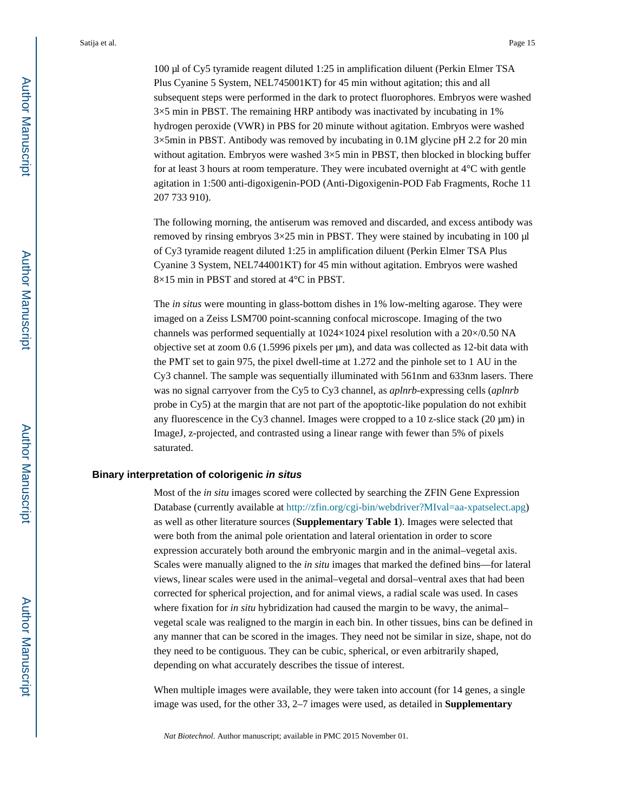100 µl of Cy5 tyramide reagent diluted 1:25 in amplification diluent (Perkin Elmer TSA Plus Cyanine 5 System, NEL745001KT) for 45 min without agitation; this and all subsequent steps were performed in the dark to protect fluorophores. Embryos were washed  $3\times$ 5 min in PBST. The remaining HRP antibody was inactivated by incubating in 1% hydrogen peroxide (VWR) in PBS for 20 minute without agitation. Embryos were washed 3×5min in PBST. Antibody was removed by incubating in 0.1M glycine pH 2.2 for 20 min without agitation. Embryos were washed  $3\times 5$  min in PBST, then blocked in blocking buffer for at least 3 hours at room temperature. They were incubated overnight at 4°C with gentle agitation in 1:500 anti-digoxigenin-POD (Anti-Digoxigenin-POD Fab Fragments, Roche 11 207 733 910).

The following morning, the antiserum was removed and discarded, and excess antibody was removed by rinsing embryos  $3\times25$  min in PBST. They were stained by incubating in 100  $\mu$ l of Cy3 tyramide reagent diluted 1:25 in amplification diluent (Perkin Elmer TSA Plus Cyanine 3 System, NEL744001KT) for 45 min without agitation. Embryos were washed 8×15 min in PBST and stored at 4°C in PBST.

The *in situs* were mounting in glass-bottom dishes in 1% low-melting agarose. They were imaged on a Zeiss LSM700 point-scanning confocal microscope. Imaging of the two channels was performed sequentially at 1024×1024 pixel resolution with a 20×/0.50 NA objective set at zoom 0.6 (1.5996 pixels per µm), and data was collected as 12-bit data with the PMT set to gain 975, the pixel dwell-time at 1.272 and the pinhole set to 1 AU in the Cy3 channel. The sample was sequentially illuminated with 561nm and 633nm lasers. There was no signal carryover from the Cy5 to Cy3 channel, as *aplnrb*-expressing cells (*aplnrb*  probe in Cy5) at the margin that are not part of the apoptotic-like population do not exhibit any fluorescence in the Cy3 channel. Images were cropped to a  $10$  z-slice stack ( $20 \mu m$ ) in ImageJ, z-projected, and contrasted using a linear range with fewer than 5% of pixels saturated.

#### **Binary interpretation of colorigenic in situs**

Most of the *in situ* images scored were collected by searching the ZFIN Gene Expression Database (currently available at [http://zfin.org/cgi-bin/webdriver?MIval=aa-xpatselect.apg\)](http://zfin.org/cgi-bin/webdriver?MIval=aa-xpatselect.apg) as well as other literature sources (**Supplementary Table 1**). Images were selected that were both from the animal pole orientation and lateral orientation in order to score expression accurately both around the embryonic margin and in the animal–vegetal axis. Scales were manually aligned to the *in situ* images that marked the defined bins—for lateral views, linear scales were used in the animal–vegetal and dorsal–ventral axes that had been corrected for spherical projection, and for animal views, a radial scale was used. In cases where fixation for *in situ* hybridization had caused the margin to be wavy, the animal– vegetal scale was realigned to the margin in each bin. In other tissues, bins can be defined in any manner that can be scored in the images. They need not be similar in size, shape, not do they need to be contiguous. They can be cubic, spherical, or even arbitrarily shaped, depending on what accurately describes the tissue of interest.

When multiple images were available, they were taken into account (for 14 genes, a single image was used, for the other 33, 2–7 images were used, as detailed in **Supplementary**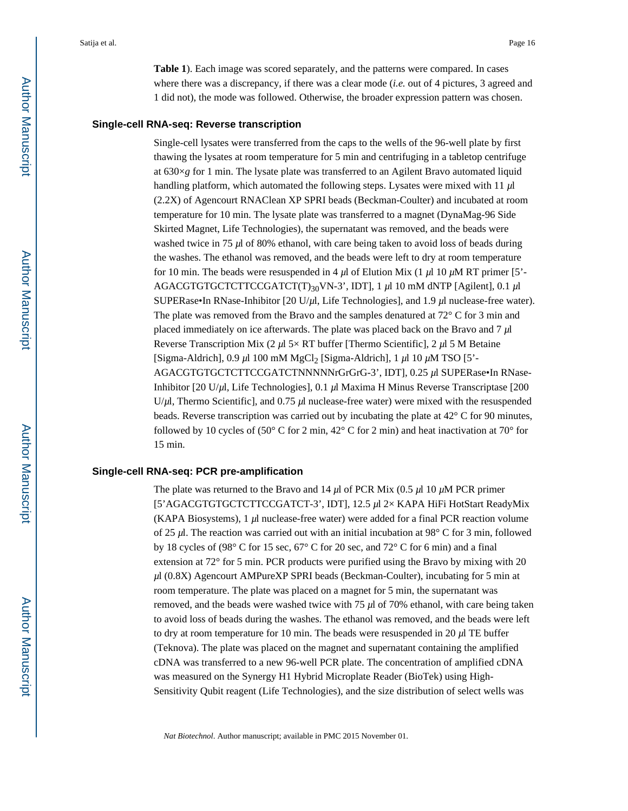**Table 1**). Each image was scored separately, and the patterns were compared. In cases where there was a discrepancy, if there was a clear mode (*i.e.* out of 4 pictures, 3 agreed and 1 did not), the mode was followed. Otherwise, the broader expression pattern was chosen.

#### **Single-cell RNA-seq: Reverse transcription**

Single-cell lysates were transferred from the caps to the wells of the 96-well plate by first thawing the lysates at room temperature for 5 min and centrifuging in a tabletop centrifuge at  $630\times g$  for 1 min. The lysate plate was transferred to an Agilent Bravo automated liquid handling platform, which automated the following steps. Lysates were mixed with 11 *µ*l (2.2X) of Agencourt RNAClean XP SPRI beads (Beckman-Coulter) and incubated at room temperature for 10 min. The lysate plate was transferred to a magnet (DynaMag-96 Side Skirted Magnet, Life Technologies), the supernatant was removed, and the beads were washed twice in 75  $\mu$  of 80% ethanol, with care being taken to avoid loss of beads during the washes. The ethanol was removed, and the beads were left to dry at room temperature for 10 min. The beads were resuspended in 4  $\mu$ l of Elution Mix (1  $\mu$ l 10  $\mu$ M RT primer [5'-AGACGTGTGCTCTTCCGATCT(T)30VN-3', IDT], 1 *µ*l 10 mM dNTP [Agilent], 0.1 *µ*l SUPERase•In RNase-Inhibitor [20 U/*µ*l, Life Technologies], and 1.9 *µ*l nuclease-free water). The plate was removed from the Bravo and the samples denatured at  $72^{\circ}$  C for 3 min and placed immediately on ice afterwards. The plate was placed back on the Bravo and 7 *µ*l Reverse Transcription Mix (2 *µ*l 5× RT buffer [Thermo Scientific], 2 *µ*l 5 M Betaine [Sigma-Aldrich], 0.9 *µ*l 100 mM MgCl2 [Sigma-Aldrich], 1 *µ*l 10 *µ*M TSO [5'- AGACGTGTGCTCTTCCGATCTNNNNNrGrGrG-3', IDT], 0.25 *µ*l SUPERase•In RNase-Inhibitor [20 U/*µ*l, Life Technologies], 0.1 *µ*l Maxima H Minus Reverse Transcriptase [200 U/ $\mu$ l, Thermo Scientific], and 0.75  $\mu$ l nuclease-free water) were mixed with the resuspended beads. Reverse transcription was carried out by incubating the plate at 42° C for 90 minutes, followed by 10 cycles of (50° C for 2 min, 42° C for 2 min) and heat inactivation at 70° for 15 min.

#### **Single-cell RNA-seq: PCR pre-amplification**

The plate was returned to the Bravo and 14 *µ*l of PCR Mix (0.5 *µ*l 10 *µ*M PCR primer [5'AGACGTGTGCTCTTCCGATCT-3', IDT], 12.5 *µ*l 2× KAPA HiFi HotStart ReadyMix (KAPA Biosystems), 1  $\mu$ l nuclease-free water) were added for a final PCR reaction volume of 25 *µ*l. The reaction was carried out with an initial incubation at 98° C for 3 min, followed by 18 cycles of (98° C for 15 sec, 67° C for 20 sec, and 72° C for 6 min) and a final extension at 72° for 5 min. PCR products were purified using the Bravo by mixing with 20 *µ*l (0.8X) Agencourt AMPureXP SPRI beads (Beckman-Coulter), incubating for 5 min at room temperature. The plate was placed on a magnet for 5 min, the supernatant was removed, and the beads were washed twice with 75 *µ*l of 70% ethanol, with care being taken to avoid loss of beads during the washes. The ethanol was removed, and the beads were left to dry at room temperature for 10 min. The beads were resuspended in 20  $\mu$ l TE buffer (Teknova). The plate was placed on the magnet and supernatant containing the amplified cDNA was transferred to a new 96-well PCR plate. The concentration of amplified cDNA was measured on the Synergy H1 Hybrid Microplate Reader (BioTek) using High-Sensitivity Qubit reagent (Life Technologies), and the size distribution of select wells was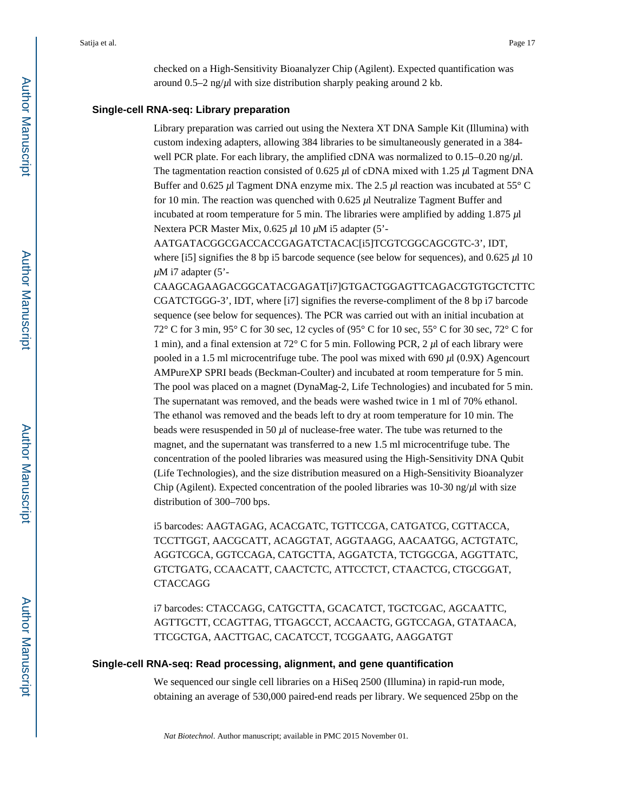checked on a High-Sensitivity Bioanalyzer Chip (Agilent). Expected quantification was around  $0.5-2$  ng/ $\mu$ l with size distribution sharply peaking around 2 kb.

#### **Single-cell RNA-seq: Library preparation**

Library preparation was carried out using the Nextera XT DNA Sample Kit (Illumina) with custom indexing adapters, allowing 384 libraries to be simultaneously generated in a 384 well PCR plate. For each library, the amplified cDNA was normalized to 0.15–0.20 ng/*µ*l. The tagmentation reaction consisted of 0.625 *µ*l of cDNA mixed with 1.25 *µ*l Tagment DNA Buffer and 0.625 *µ*l Tagment DNA enzyme mix. The 2.5 *µ*l reaction was incubated at 55° C for 10 min. The reaction was quenched with 0.625 *µ*l Neutralize Tagment Buffer and incubated at room temperature for 5 min. The libraries were amplified by adding 1.875 *µ*l Nextera PCR Master Mix, 0.625 *µ*l 10 *µ*M i5 adapter (5'-

AATGATACGGCGACCACCGAGATCTACAC[i5]TCGTCGGCAGCGTC-3', IDT, where [i5] signifies the 8 bp i5 barcode sequence (see below for sequences), and 0.625  $\mu$ l 10 *µ*M i7 adapter (5'-

CAAGCAGAAGACGGCATACGAGAT[i7]GTGACTGGAGTTCAGACGTGTGCTCTTC CGATCTGGG-3', IDT, where [i7] signifies the reverse-compliment of the 8 bp i7 barcode sequence (see below for sequences). The PCR was carried out with an initial incubation at 72° C for 3 min, 95° C for 30 sec, 12 cycles of (95° C for 10 sec, 55° C for 30 sec, 72° C for 1 min), and a final extension at 72° C for 5 min. Following PCR, 2 *µ*l of each library were pooled in a 1.5 ml microcentrifuge tube. The pool was mixed with 690 *µ*l (0.9X) Agencourt AMPureXP SPRI beads (Beckman-Coulter) and incubated at room temperature for 5 min. The pool was placed on a magnet (DynaMag-2, Life Technologies) and incubated for 5 min. The supernatant was removed, and the beads were washed twice in 1 ml of 70% ethanol. The ethanol was removed and the beads left to dry at room temperature for 10 min. The beads were resuspended in 50 *µ*l of nuclease-free water. The tube was returned to the magnet, and the supernatant was transferred to a new 1.5 ml microcentrifuge tube. The concentration of the pooled libraries was measured using the High-Sensitivity DNA Qubit (Life Technologies), and the size distribution measured on a High-Sensitivity Bioanalyzer Chip (Agilent). Expected concentration of the pooled libraries was 10-30 ng/*µ*l with size distribution of 300–700 bps.

i5 barcodes: AAGTAGAG, ACACGATC, TGTTCCGA, CATGATCG, CGTTACCA, TCCTTGGT, AACGCATT, ACAGGTAT, AGGTAAGG, AACAATGG, ACTGTATC, AGGTCGCA, GGTCCAGA, CATGCTTA, AGGATCTA, TCTGGCGA, AGGTTATC, GTCTGATG, CCAACATT, CAACTCTC, ATTCCTCT, CTAACTCG, CTGCGGAT, CTACCAGG

i7 barcodes: CTACCAGG, CATGCTTA, GCACATCT, TGCTCGAC, AGCAATTC, AGTTGCTT, CCAGTTAG, TTGAGCCT, ACCAACTG, GGTCCAGA, GTATAACA, TTCGCTGA, AACTTGAC, CACATCCT, TCGGAATG, AAGGATGT

#### **Single-cell RNA-seq: Read processing, alignment, and gene quantification**

We sequenced our single cell libraries on a HiSeq 2500 (Illumina) in rapid-run mode, obtaining an average of 530,000 paired-end reads per library. We sequenced 25bp on the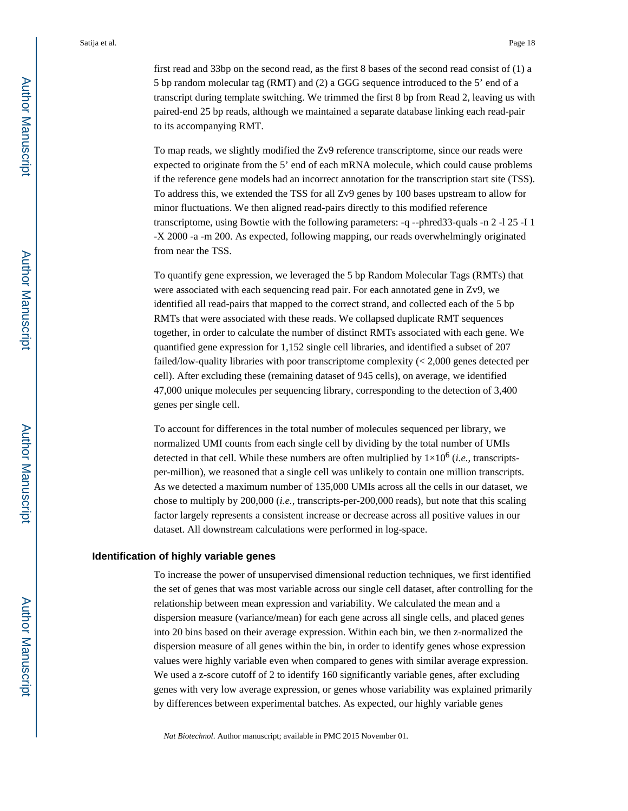first read and 33bp on the second read, as the first 8 bases of the second read consist of (1) a 5 bp random molecular tag (RMT) and (2) a GGG sequence introduced to the 5' end of a transcript during template switching. We trimmed the first 8 bp from Read 2, leaving us with paired-end 25 bp reads, although we maintained a separate database linking each read-pair to its accompanying RMT.

To map reads, we slightly modified the Zv9 reference transcriptome, since our reads were expected to originate from the 5' end of each mRNA molecule, which could cause problems if the reference gene models had an incorrect annotation for the transcription start site (TSS). To address this, we extended the TSS for all Zv9 genes by 100 bases upstream to allow for minor fluctuations. We then aligned read-pairs directly to this modified reference transcriptome, using Bowtie with the following parameters: -q --phred33-quals -n 2 -l 25 -I 1 -X 2000 -a -m 200. As expected, following mapping, our reads overwhelmingly originated from near the TSS.

To quantify gene expression, we leveraged the 5 bp Random Molecular Tags (RMTs) that were associated with each sequencing read pair. For each annotated gene in Zv9, we identified all read-pairs that mapped to the correct strand, and collected each of the 5 bp RMTs that were associated with these reads. We collapsed duplicate RMT sequences together, in order to calculate the number of distinct RMTs associated with each gene. We quantified gene expression for 1,152 single cell libraries, and identified a subset of 207 failed/low-quality libraries with poor transcriptome complexity (< 2,000 genes detected per cell). After excluding these (remaining dataset of 945 cells), on average, we identified 47,000 unique molecules per sequencing library, corresponding to the detection of 3,400 genes per single cell.

To account for differences in the total number of molecules sequenced per library, we normalized UMI counts from each single cell by dividing by the total number of UMIs detected in that cell. While these numbers are often multiplied by  $1 \times 10^6$  (*i.e.*, transcriptsper-million), we reasoned that a single cell was unlikely to contain one million transcripts. As we detected a maximum number of 135,000 UMIs across all the cells in our dataset, we chose to multiply by 200,000 (*i.e.*, transcripts-per-200,000 reads), but note that this scaling factor largely represents a consistent increase or decrease across all positive values in our dataset. All downstream calculations were performed in log-space.

#### **Identification of highly variable genes**

To increase the power of unsupervised dimensional reduction techniques, we first identified the set of genes that was most variable across our single cell dataset, after controlling for the relationship between mean expression and variability. We calculated the mean and a dispersion measure (variance/mean) for each gene across all single cells, and placed genes into 20 bins based on their average expression. Within each bin, we then z-normalized the dispersion measure of all genes within the bin, in order to identify genes whose expression values were highly variable even when compared to genes with similar average expression. We used a z-score cutoff of 2 to identify 160 significantly variable genes, after excluding genes with very low average expression, or genes whose variability was explained primarily by differences between experimental batches. As expected, our highly variable genes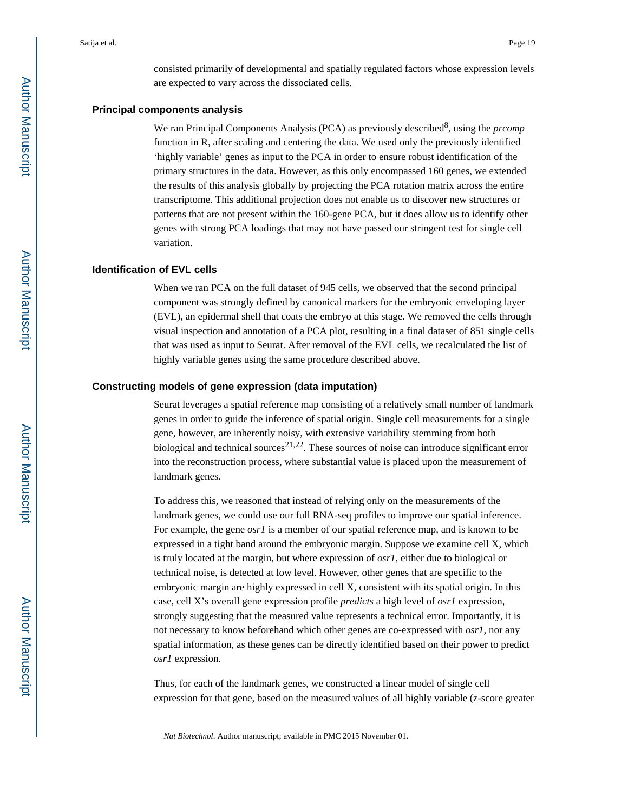consisted primarily of developmental and spatially regulated factors whose expression levels are expected to vary across the dissociated cells.

#### **Principal components analysis**

We ran Principal Components Analysis (PCA) as previously described<sup>8</sup>, using the *prcomp* function in R, after scaling and centering the data. We used only the previously identified 'highly variable' genes as input to the PCA in order to ensure robust identification of the primary structures in the data. However, as this only encompassed 160 genes, we extended the results of this analysis globally by projecting the PCA rotation matrix across the entire transcriptome. This additional projection does not enable us to discover new structures or patterns that are not present within the 160-gene PCA, but it does allow us to identify other genes with strong PCA loadings that may not have passed our stringent test for single cell variation.

#### **Identification of EVL cells**

When we ran PCA on the full dataset of 945 cells, we observed that the second principal component was strongly defined by canonical markers for the embryonic enveloping layer (EVL), an epidermal shell that coats the embryo at this stage. We removed the cells through visual inspection and annotation of a PCA plot, resulting in a final dataset of 851 single cells that was used as input to Seurat. After removal of the EVL cells, we recalculated the list of highly variable genes using the same procedure described above.

#### **Constructing models of gene expression (data imputation)**

Seurat leverages a spatial reference map consisting of a relatively small number of landmark genes in order to guide the inference of spatial origin. Single cell measurements for a single gene, however, are inherently noisy, with extensive variability stemming from both biological and technical sources<sup>21,22</sup>. These sources of noise can introduce significant error into the reconstruction process, where substantial value is placed upon the measurement of landmark genes.

To address this, we reasoned that instead of relying only on the measurements of the landmark genes, we could use our full RNA-seq profiles to improve our spatial inference. For example, the gene *osr1* is a member of our spatial reference map, and is known to be expressed in a tight band around the embryonic margin. Suppose we examine cell X, which is truly located at the margin, but where expression of *osr1*, either due to biological or technical noise, is detected at low level. However, other genes that are specific to the embryonic margin are highly expressed in cell X, consistent with its spatial origin. In this case, cell X's overall gene expression profile *predicts* a high level of *osr1* expression, strongly suggesting that the measured value represents a technical error. Importantly, it is not necessary to know beforehand which other genes are co-expressed with *osr1*, nor any spatial information, as these genes can be directly identified based on their power to predict *osr1* expression.

Thus, for each of the landmark genes, we constructed a linear model of single cell expression for that gene, based on the measured values of all highly variable (z-score greater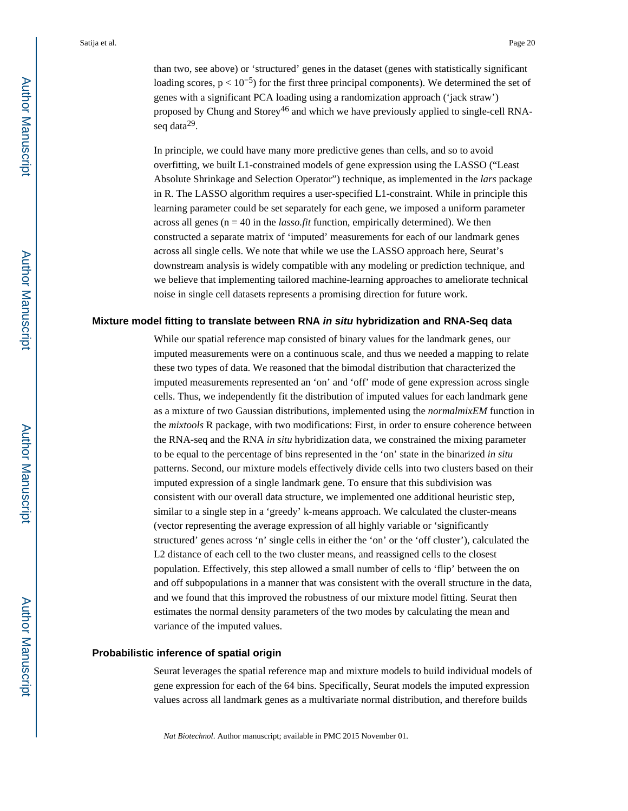than two, see above) or 'structured' genes in the dataset (genes with statistically significant loading scores,  $p < 10^{-5}$ ) for the first three principal components). We determined the set of genes with a significant PCA loading using a randomization approach ('jack straw') proposed by Chung and Storey<sup>46</sup> and which we have previously applied to single-cell RNAseq data<sup>29</sup>.

In principle, we could have many more predictive genes than cells, and so to avoid overfitting, we built L1-constrained models of gene expression using the LASSO ("Least Absolute Shrinkage and Selection Operator") technique, as implemented in the *lars* package in R. The LASSO algorithm requires a user-specified L1-constraint. While in principle this learning parameter could be set separately for each gene, we imposed a uniform parameter across all genes ( $n = 40$  in the *lasso.fit* function, empirically determined). We then constructed a separate matrix of 'imputed' measurements for each of our landmark genes across all single cells. We note that while we use the LASSO approach here, Seurat's downstream analysis is widely compatible with any modeling or prediction technique, and we believe that implementing tailored machine-learning approaches to ameliorate technical noise in single cell datasets represents a promising direction for future work.

#### **Mixture model fitting to translate between RNA in situ hybridization and RNA-Seq data**

While our spatial reference map consisted of binary values for the landmark genes, our imputed measurements were on a continuous scale, and thus we needed a mapping to relate these two types of data. We reasoned that the bimodal distribution that characterized the imputed measurements represented an 'on' and 'off' mode of gene expression across single cells. Thus, we independently fit the distribution of imputed values for each landmark gene as a mixture of two Gaussian distributions, implemented using the *normalmixEM* function in the *mixtools* R package, with two modifications: First, in order to ensure coherence between the RNA-seq and the RNA *in situ* hybridization data, we constrained the mixing parameter to be equal to the percentage of bins represented in the 'on' state in the binarized *in situ*  patterns. Second, our mixture models effectively divide cells into two clusters based on their imputed expression of a single landmark gene. To ensure that this subdivision was consistent with our overall data structure, we implemented one additional heuristic step, similar to a single step in a 'greedy' k-means approach. We calculated the cluster-means (vector representing the average expression of all highly variable or 'significantly structured' genes across 'n' single cells in either the 'on' or the 'off cluster'), calculated the L2 distance of each cell to the two cluster means, and reassigned cells to the closest population. Effectively, this step allowed a small number of cells to 'flip' between the on and off subpopulations in a manner that was consistent with the overall structure in the data, and we found that this improved the robustness of our mixture model fitting. Seurat then estimates the normal density parameters of the two modes by calculating the mean and variance of the imputed values.

#### **Probabilistic inference of spatial origin**

Seurat leverages the spatial reference map and mixture models to build individual models of gene expression for each of the 64 bins. Specifically, Seurat models the imputed expression values across all landmark genes as a multivariate normal distribution, and therefore builds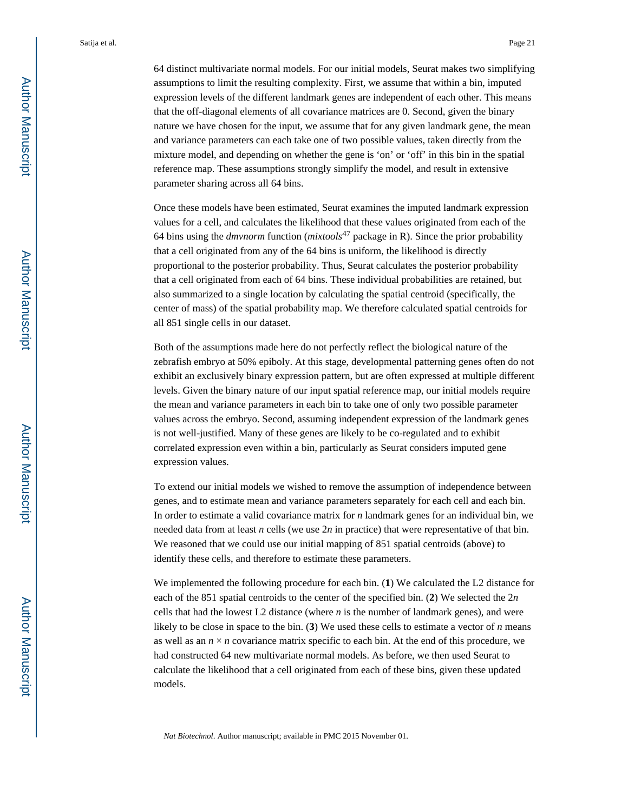64 distinct multivariate normal models. For our initial models, Seurat makes two simplifying assumptions to limit the resulting complexity. First, we assume that within a bin, imputed expression levels of the different landmark genes are independent of each other. This means that the off-diagonal elements of all covariance matrices are 0. Second, given the binary nature we have chosen for the input, we assume that for any given landmark gene, the mean and variance parameters can each take one of two possible values, taken directly from the mixture model, and depending on whether the gene is 'on' or 'off' in this bin in the spatial reference map. These assumptions strongly simplify the model, and result in extensive parameter sharing across all 64 bins.

Once these models have been estimated, Seurat examines the imputed landmark expression values for a cell, and calculates the likelihood that these values originated from each of the 64 bins using the *dmvnorm* function (*mixtools*47 package in R). Since the prior probability that a cell originated from any of the 64 bins is uniform, the likelihood is directly proportional to the posterior probability. Thus, Seurat calculates the posterior probability that a cell originated from each of 64 bins. These individual probabilities are retained, but also summarized to a single location by calculating the spatial centroid (specifically, the center of mass) of the spatial probability map. We therefore calculated spatial centroids for all 851 single cells in our dataset.

Both of the assumptions made here do not perfectly reflect the biological nature of the zebrafish embryo at 50% epiboly. At this stage, developmental patterning genes often do not exhibit an exclusively binary expression pattern, but are often expressed at multiple different levels. Given the binary nature of our input spatial reference map, our initial models require the mean and variance parameters in each bin to take one of only two possible parameter values across the embryo. Second, assuming independent expression of the landmark genes is not well-justified. Many of these genes are likely to be co-regulated and to exhibit correlated expression even within a bin, particularly as Seurat considers imputed gene expression values.

To extend our initial models we wished to remove the assumption of independence between genes, and to estimate mean and variance parameters separately for each cell and each bin. In order to estimate a valid covariance matrix for *n* landmark genes for an individual bin, we needed data from at least *n* cells (we use 2*n* in practice) that were representative of that bin. We reasoned that we could use our initial mapping of 851 spatial centroids (above) to identify these cells, and therefore to estimate these parameters.

We implemented the following procedure for each bin. (**1**) We calculated the L2 distance for each of the 851 spatial centroids to the center of the specified bin. (**2**) We selected the 2*n*  cells that had the lowest L2 distance (where *n* is the number of landmark genes), and were likely to be close in space to the bin. (**3**) We used these cells to estimate a vector of *n* means as well as an  $n \times n$  covariance matrix specific to each bin. At the end of this procedure, we had constructed 64 new multivariate normal models. As before, we then used Seurat to calculate the likelihood that a cell originated from each of these bins, given these updated models.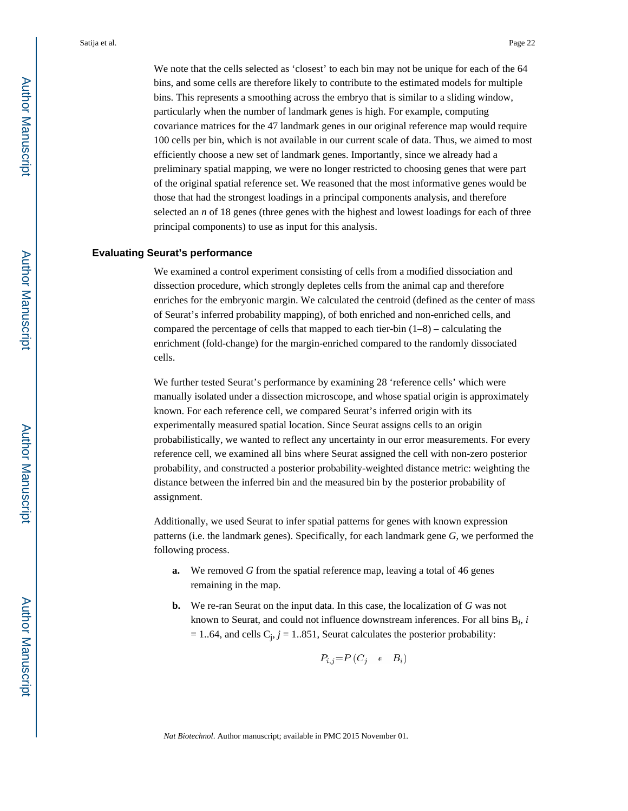We note that the cells selected as 'closest' to each bin may not be unique for each of the 64 bins, and some cells are therefore likely to contribute to the estimated models for multiple bins. This represents a smoothing across the embryo that is similar to a sliding window, particularly when the number of landmark genes is high. For example, computing covariance matrices for the 47 landmark genes in our original reference map would require 100 cells per bin, which is not available in our current scale of data. Thus, we aimed to most efficiently choose a new set of landmark genes. Importantly, since we already had a preliminary spatial mapping, we were no longer restricted to choosing genes that were part of the original spatial reference set. We reasoned that the most informative genes would be those that had the strongest loadings in a principal components analysis, and therefore selected an *n* of 18 genes (three genes with the highest and lowest loadings for each of three principal components) to use as input for this analysis.

#### **Evaluating Seurat's performance**

We examined a control experiment consisting of cells from a modified dissociation and dissection procedure, which strongly depletes cells from the animal cap and therefore enriches for the embryonic margin. We calculated the centroid (defined as the center of mass of Seurat's inferred probability mapping), of both enriched and non-enriched cells, and compared the percentage of cells that mapped to each tier-bin  $(1-8)$  – calculating the enrichment (fold-change) for the margin-enriched compared to the randomly dissociated cells.

We further tested Seurat's performance by examining 28 'reference cells' which were manually isolated under a dissection microscope, and whose spatial origin is approximately known. For each reference cell, we compared Seurat's inferred origin with its experimentally measured spatial location. Since Seurat assigns cells to an origin probabilistically, we wanted to reflect any uncertainty in our error measurements. For every reference cell, we examined all bins where Seurat assigned the cell with non-zero posterior probability, and constructed a posterior probability-weighted distance metric: weighting the distance between the inferred bin and the measured bin by the posterior probability of assignment.

Additionally, we used Seurat to infer spatial patterns for genes with known expression patterns (i.e. the landmark genes). Specifically, for each landmark gene *G*, we performed the following process.

- **a.** We removed *G* from the spatial reference map, leaving a total of 46 genes remaining in the map.
- **b.** We re-ran Seurat on the input data. In this case, the localization of *G* was not known to Seurat, and could not influence downstream inferences. For all bins B*<sup>i</sup>* , *i*   $= 1..64$ , and cells  $C_j$ ,  $j = 1..851$ , Seurat calculates the posterior probability:

$$
P_{i,j} = P(C_j \quad \epsilon \quad B_i)
$$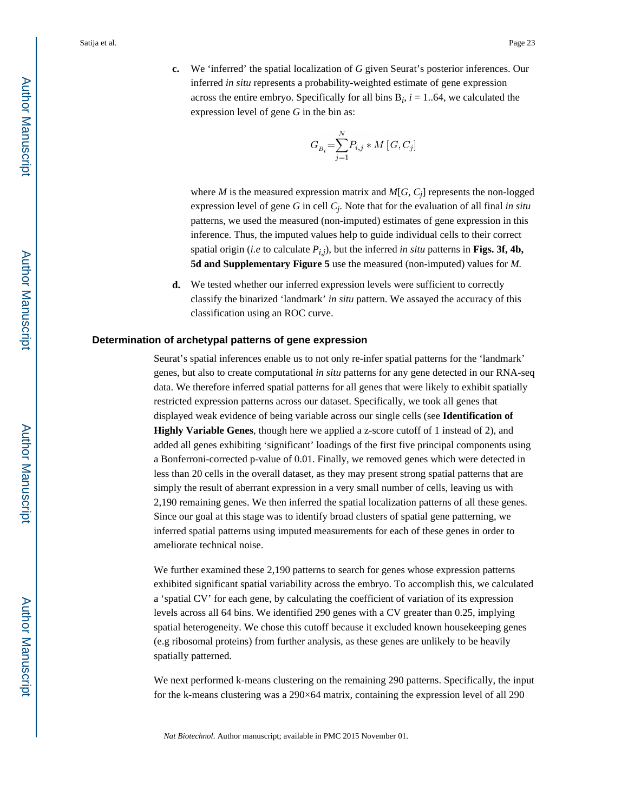**c.** We 'inferred' the spatial localization of *G* given Seurat's posterior inferences. Our inferred *in situ* represents a probability-weighted estimate of gene expression across the entire embryo. Specifically for all bins  $B_i$ ,  $i = 1..64$ , we calculated the expression level of gene *G* in the bin as:

$$
G_{B_i} = \sum_{j=1}^{N} P_{i,j} * M\left[G, C_j\right]
$$

where *M* is the measured expression matrix and  $M[G, C_j]$  represents the non-logged expression level of gene *G* in cell *C<sup>j</sup>* . Note that for the evaluation of all final *in situ*  patterns, we used the measured (non-imputed) estimates of gene expression in this inference. Thus, the imputed values help to guide individual cells to their correct spatial origin (*i.e* to calculate  $P_{i,j}$ ), but the inferred *in situ* patterns in **Figs. 3f, 4b, 5d and Supplementary Figure 5** use the measured (non-imputed) values for *M.*

**d.** We tested whether our inferred expression levels were sufficient to correctly classify the binarized 'landmark' *in situ* pattern. We assayed the accuracy of this classification using an ROC curve.

#### **Determination of archetypal patterns of gene expression**

Seurat's spatial inferences enable us to not only re-infer spatial patterns for the 'landmark' genes, but also to create computational *in situ* patterns for any gene detected in our RNA-seq data. We therefore inferred spatial patterns for all genes that were likely to exhibit spatially restricted expression patterns across our dataset. Specifically, we took all genes that displayed weak evidence of being variable across our single cells (see **Identification of Highly Variable Genes**, though here we applied a z-score cutoff of 1 instead of 2), and added all genes exhibiting 'significant' loadings of the first five principal components using a Bonferroni-corrected p-value of 0.01. Finally, we removed genes which were detected in less than 20 cells in the overall dataset, as they may present strong spatial patterns that are simply the result of aberrant expression in a very small number of cells, leaving us with 2,190 remaining genes. We then inferred the spatial localization patterns of all these genes. Since our goal at this stage was to identify broad clusters of spatial gene patterning, we inferred spatial patterns using imputed measurements for each of these genes in order to ameliorate technical noise.

We further examined these 2,190 patterns to search for genes whose expression patterns exhibited significant spatial variability across the embryo. To accomplish this, we calculated a 'spatial CV' for each gene, by calculating the coefficient of variation of its expression levels across all 64 bins. We identified 290 genes with a CV greater than 0.25, implying spatial heterogeneity. We chose this cutoff because it excluded known housekeeping genes (e.g ribosomal proteins) from further analysis, as these genes are unlikely to be heavily spatially patterned.

We next performed k-means clustering on the remaining 290 patterns. Specifically, the input for the k-means clustering was a 290×64 matrix, containing the expression level of all 290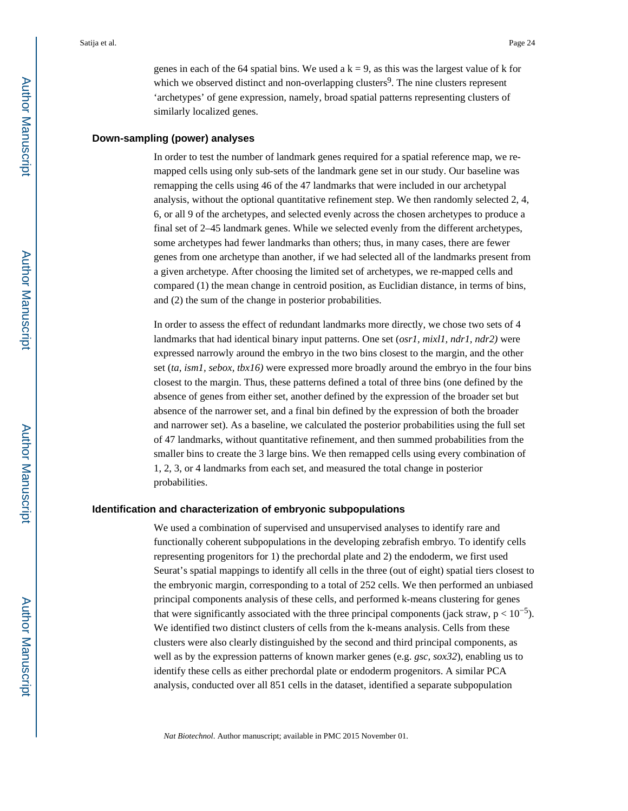genes in each of the 64 spatial bins. We used a  $k = 9$ , as this was the largest value of k for which we observed distinct and non-overlapping clusters<sup>9</sup>. The nine clusters represent 'archetypes' of gene expression, namely, broad spatial patterns representing clusters of similarly localized genes.

#### **Down-sampling (power) analyses**

In order to test the number of landmark genes required for a spatial reference map, we remapped cells using only sub-sets of the landmark gene set in our study. Our baseline was remapping the cells using 46 of the 47 landmarks that were included in our archetypal analysis, without the optional quantitative refinement step. We then randomly selected 2, 4, 6, or all 9 of the archetypes, and selected evenly across the chosen archetypes to produce a final set of 2–45 landmark genes. While we selected evenly from the different archetypes, some archetypes had fewer landmarks than others; thus, in many cases, there are fewer genes from one archetype than another, if we had selected all of the landmarks present from a given archetype. After choosing the limited set of archetypes, we re-mapped cells and compared (1) the mean change in centroid position, as Euclidian distance, in terms of bins, and (2) the sum of the change in posterior probabilities.

In order to assess the effect of redundant landmarks more directly, we chose two sets of 4 landmarks that had identical binary input patterns. One set (*osr1, mixl1, ndr1, ndr2)* were expressed narrowly around the embryo in the two bins closest to the margin, and the other set (*ta, ism1, sebox, tbx16)* were expressed more broadly around the embryo in the four bins closest to the margin. Thus, these patterns defined a total of three bins (one defined by the absence of genes from either set, another defined by the expression of the broader set but absence of the narrower set, and a final bin defined by the expression of both the broader and narrower set). As a baseline, we calculated the posterior probabilities using the full set of 47 landmarks, without quantitative refinement, and then summed probabilities from the smaller bins to create the 3 large bins. We then remapped cells using every combination of 1, 2, 3, or 4 landmarks from each set, and measured the total change in posterior probabilities.

#### **Identification and characterization of embryonic subpopulations**

We used a combination of supervised and unsupervised analyses to identify rare and functionally coherent subpopulations in the developing zebrafish embryo. To identify cells representing progenitors for 1) the prechordal plate and 2) the endoderm, we first used Seurat's spatial mappings to identify all cells in the three (out of eight) spatial tiers closest to the embryonic margin, corresponding to a total of 252 cells. We then performed an unbiased principal components analysis of these cells, and performed k-means clustering for genes that were significantly associated with the three principal components (jack straw,  $p < 10^{-5}$ ). We identified two distinct clusters of cells from the k-means analysis. Cells from these clusters were also clearly distinguished by the second and third principal components, as well as by the expression patterns of known marker genes (e.g. *gsc, sox32*), enabling us to identify these cells as either prechordal plate or endoderm progenitors. A similar PCA analysis, conducted over all 851 cells in the dataset, identified a separate subpopulation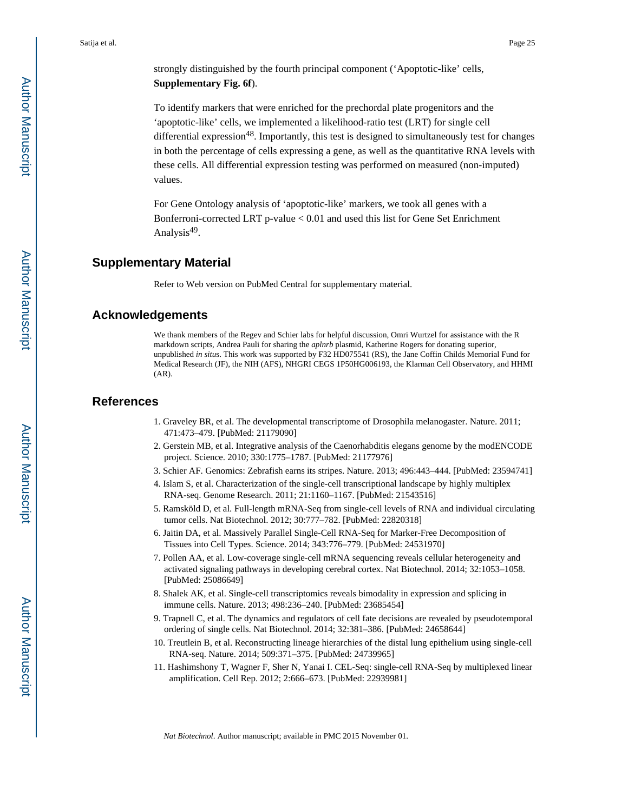strongly distinguished by the fourth principal component ('Apoptotic-like' cells, **Supplementary Fig. 6f**).

To identify markers that were enriched for the prechordal plate progenitors and the 'apoptotic-like' cells, we implemented a likelihood-ratio test (LRT) for single cell differential expression<sup>48</sup>. Importantly, this test is designed to simultaneously test for changes in both the percentage of cells expressing a gene, as well as the quantitative RNA levels with these cells. All differential expression testing was performed on measured (non-imputed) values.

For Gene Ontology analysis of 'apoptotic-like' markers, we took all genes with a Bonferroni-corrected LRT p-value < 0.01 and used this list for Gene Set Enrichment Analysis<sup>49</sup>.

### **Supplementary Material**

Refer to Web version on PubMed Central for supplementary material.

## **Acknowledgements**

We thank members of the Regev and Schier labs for helpful discussion, Omri Wurtzel for assistance with the R markdown scripts, Andrea Pauli for sharing the *aplnrb* plasmid, Katherine Rogers for donating superior, unpublished *in situ*s. This work was supported by F32 HD075541 (RS), the Jane Coffin Childs Memorial Fund for Medical Research (JF), the NIH (AFS), NHGRI CEGS 1P50HG006193, the Klarman Cell Observatory, and HHMI (AR).

### **References**

- 1. Graveley BR, et al. The developmental transcriptome of Drosophila melanogaster. Nature. 2011; 471:473–479. [PubMed: 21179090]
- 2. Gerstein MB, et al. Integrative analysis of the Caenorhabditis elegans genome by the modENCODE project. Science. 2010; 330:1775–1787. [PubMed: 21177976]
- 3. Schier AF. Genomics: Zebrafish earns its stripes. Nature. 2013; 496:443–444. [PubMed: 23594741]
- 4. Islam S, et al. Characterization of the single-cell transcriptional landscape by highly multiplex RNA-seq. Genome Research. 2011; 21:1160–1167. [PubMed: 21543516]
- 5. Ramsköld D, et al. Full-length mRNA-Seq from single-cell levels of RNA and individual circulating tumor cells. Nat Biotechnol. 2012; 30:777–782. [PubMed: 22820318]
- 6. Jaitin DA, et al. Massively Parallel Single-Cell RNA-Seq for Marker-Free Decomposition of Tissues into Cell Types. Science. 2014; 343:776–779. [PubMed: 24531970]
- 7. Pollen AA, et al. Low-coverage single-cell mRNA sequencing reveals cellular heterogeneity and activated signaling pathways in developing cerebral cortex. Nat Biotechnol. 2014; 32:1053–1058. [PubMed: 25086649]
- 8. Shalek AK, et al. Single-cell transcriptomics reveals bimodality in expression and splicing in immune cells. Nature. 2013; 498:236–240. [PubMed: 23685454]
- 9. Trapnell C, et al. The dynamics and regulators of cell fate decisions are revealed by pseudotemporal ordering of single cells. Nat Biotechnol. 2014; 32:381–386. [PubMed: 24658644]
- 10. Treutlein B, et al. Reconstructing lineage hierarchies of the distal lung epithelium using single-cell RNA-seq. Nature. 2014; 509:371–375. [PubMed: 24739965]
- 11. Hashimshony T, Wagner F, Sher N, Yanai I. CEL-Seq: single-cell RNA-Seq by multiplexed linear amplification. Cell Rep. 2012; 2:666–673. [PubMed: 22939981]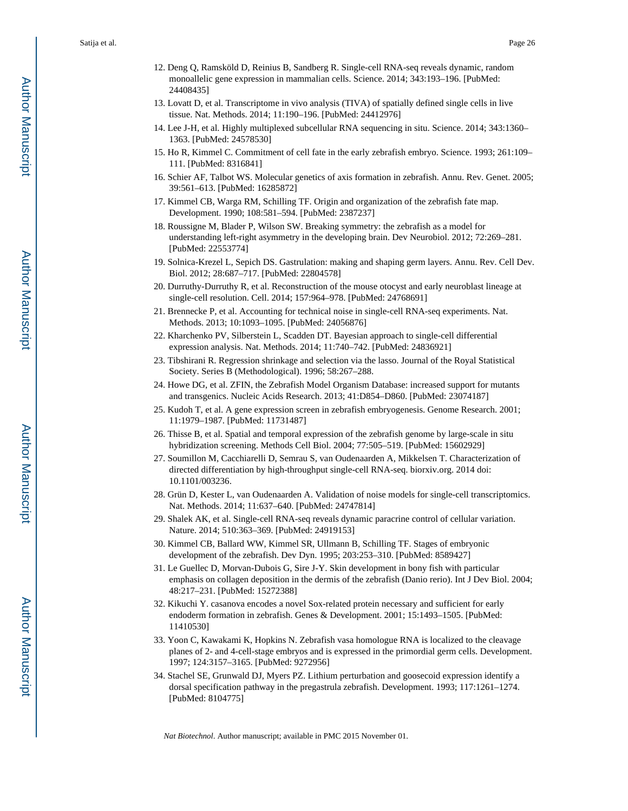- 12. Deng Q, Ramsköld D, Reinius B, Sandberg R. Single-cell RNA-seq reveals dynamic, random monoallelic gene expression in mammalian cells. Science. 2014; 343:193–196. [PubMed: 24408435]
- 13. Lovatt D, et al. Transcriptome in vivo analysis (TIVA) of spatially defined single cells in live tissue. Nat. Methods. 2014; 11:190–196. [PubMed: 24412976]
- 14. Lee J-H, et al. Highly multiplexed subcellular RNA sequencing in situ. Science. 2014; 343:1360– 1363. [PubMed: 24578530]
- 15. Ho R, Kimmel C. Commitment of cell fate in the early zebrafish embryo. Science. 1993; 261:109– 111. [PubMed: 8316841]
- 16. Schier AF, Talbot WS. Molecular genetics of axis formation in zebrafish. Annu. Rev. Genet. 2005; 39:561–613. [PubMed: 16285872]
- 17. Kimmel CB, Warga RM, Schilling TF. Origin and organization of the zebrafish fate map. Development. 1990; 108:581–594. [PubMed: 2387237]
- 18. Roussigne M, Blader P, Wilson SW. Breaking symmetry: the zebrafish as a model for understanding left-right asymmetry in the developing brain. Dev Neurobiol. 2012; 72:269–281. [PubMed: 22553774]
- 19. Solnica-Krezel L, Sepich DS. Gastrulation: making and shaping germ layers. Annu. Rev. Cell Dev. Biol. 2012; 28:687–717. [PubMed: 22804578]
- 20. Durruthy-Durruthy R, et al. Reconstruction of the mouse otocyst and early neuroblast lineage at single-cell resolution. Cell. 2014; 157:964–978. [PubMed: 24768691]
- 21. Brennecke P, et al. Accounting for technical noise in single-cell RNA-seq experiments. Nat. Methods. 2013; 10:1093–1095. [PubMed: 24056876]
- 22. Kharchenko PV, Silberstein L, Scadden DT. Bayesian approach to single-cell differential expression analysis. Nat. Methods. 2014; 11:740–742. [PubMed: 24836921]
- 23. Tibshirani R. Regression shrinkage and selection via the lasso. Journal of the Royal Statistical Society. Series B (Methodological). 1996; 58:267–288.
- 24. Howe DG, et al. ZFIN, the Zebrafish Model Organism Database: increased support for mutants and transgenics. Nucleic Acids Research. 2013; 41:D854–D860. [PubMed: 23074187]
- 25. Kudoh T, et al. A gene expression screen in zebrafish embryogenesis. Genome Research. 2001; 11:1979–1987. [PubMed: 11731487]
- 26. Thisse B, et al. Spatial and temporal expression of the zebrafish genome by large-scale in situ hybridization screening. Methods Cell Biol. 2004; 77:505–519. [PubMed: 15602929]
- 27. Soumillon M, Cacchiarelli D, Semrau S, van Oudenaarden A, Mikkelsen T. Characterization of directed differentiation by high-throughput single-cell RNA-seq. biorxiv.org. 2014 doi: 10.1101/003236.
- 28. Grün D, Kester L, van Oudenaarden A. Validation of noise models for single-cell transcriptomics. Nat. Methods. 2014; 11:637–640. [PubMed: 24747814]
- 29. Shalek AK, et al. Single-cell RNA-seq reveals dynamic paracrine control of cellular variation. Nature. 2014; 510:363–369. [PubMed: 24919153]
- 30. Kimmel CB, Ballard WW, Kimmel SR, Ullmann B, Schilling TF. Stages of embryonic development of the zebrafish. Dev Dyn. 1995; 203:253–310. [PubMed: 8589427]
- 31. Le Guellec D, Morvan-Dubois G, Sire J-Y. Skin development in bony fish with particular emphasis on collagen deposition in the dermis of the zebrafish (Danio rerio). Int J Dev Biol. 2004; 48:217–231. [PubMed: 15272388]
- 32. Kikuchi Y. casanova encodes a novel Sox-related protein necessary and sufficient for early endoderm formation in zebrafish. Genes & Development. 2001; 15:1493–1505. [PubMed: 11410530]
- 33. Yoon C, Kawakami K, Hopkins N. Zebrafish vasa homologue RNA is localized to the cleavage planes of 2- and 4-cell-stage embryos and is expressed in the primordial germ cells. Development. 1997; 124:3157–3165. [PubMed: 9272956]
- 34. Stachel SE, Grunwald DJ, Myers PZ. Lithium perturbation and goosecoid expression identify a dorsal specification pathway in the pregastrula zebrafish. Development. 1993; 117:1261–1274. [PubMed: 8104775]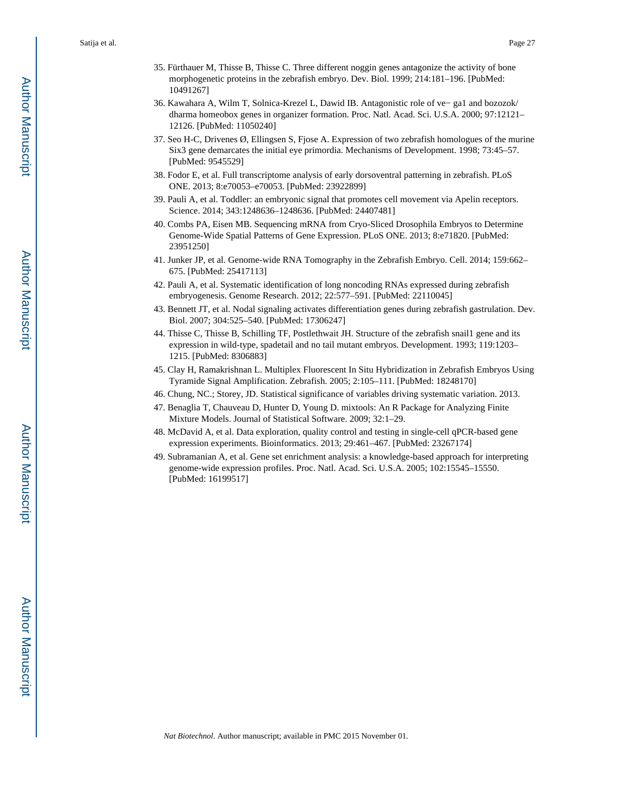- 35. Fürthauer M, Thisse B, Thisse C. Three different noggin genes antagonize the activity of bone morphogenetic proteins in the zebrafish embryo. Dev. Biol. 1999; 214:181–196. [PubMed: 10491267]
- 36. Kawahara A, Wilm T, Solnica-Krezel L, Dawid IB. Antagonistic role of ve− ga1 and bozozok/ dharma homeobox genes in organizer formation. Proc. Natl. Acad. Sci. U.S.A. 2000; 97:12121– 12126. [PubMed: 11050240]
- 37. Seo H-C, Drivenes Ø, Ellingsen S, Fjose A. Expression of two zebrafish homologues of the murine Six3 gene demarcates the initial eye primordia. Mechanisms of Development. 1998; 73:45–57. [PubMed: 9545529]
- 38. Fodor E, et al. Full transcriptome analysis of early dorsoventral patterning in zebrafish. PLoS ONE. 2013; 8:e70053–e70053. [PubMed: 23922899]
- 39. Pauli A, et al. Toddler: an embryonic signal that promotes cell movement via Apelin receptors. Science. 2014; 343:1248636–1248636. [PubMed: 24407481]
- 40. Combs PA, Eisen MB. Sequencing mRNA from Cryo-Sliced Drosophila Embryos to Determine Genome-Wide Spatial Patterns of Gene Expression. PLoS ONE. 2013; 8:e71820. [PubMed: 23951250]
- 41. Junker JP, et al. Genome-wide RNA Tomography in the Zebrafish Embryo. Cell. 2014; 159:662– 675. [PubMed: 25417113]
- 42. Pauli A, et al. Systematic identification of long noncoding RNAs expressed during zebrafish embryogenesis. Genome Research. 2012; 22:577–591. [PubMed: 22110045]
- 43. Bennett JT, et al. Nodal signaling activates differentiation genes during zebrafish gastrulation. Dev. Biol. 2007; 304:525–540. [PubMed: 17306247]
- 44. Thisse C, Thisse B, Schilling TF, Postlethwait JH. Structure of the zebrafish snail1 gene and its expression in wild-type, spadetail and no tail mutant embryos. Development. 1993; 119:1203– 1215. [PubMed: 8306883]
- 45. Clay H, Ramakrishnan L. Multiplex Fluorescent In Situ Hybridization in Zebrafish Embryos Using Tyramide Signal Amplification. Zebrafish. 2005; 2:105–111. [PubMed: 18248170]
- 46. Chung, NC.; Storey, JD. Statistical significance of variables driving systematic variation. 2013.
- 47. Benaglia T, Chauveau D, Hunter D, Young D. mixtools: An R Package for Analyzing Finite Mixture Models. Journal of Statistical Software. 2009; 32:1–29.
- 48. McDavid A, et al. Data exploration, quality control and testing in single-cell qPCR-based gene expression experiments. Bioinformatics. 2013; 29:461–467. [PubMed: 23267174]
- 49. Subramanian A, et al. Gene set enrichment analysis: a knowledge-based approach for interpreting genome-wide expression profiles. Proc. Natl. Acad. Sci. U.S.A. 2005; 102:15545–15550. [PubMed: 16199517]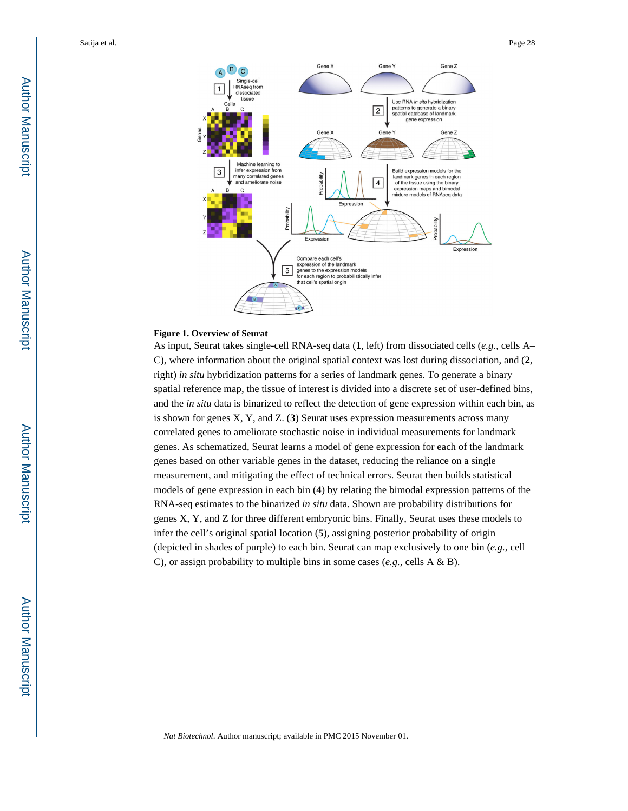

#### **Figure 1. Overview of Seurat**

As input, Seurat takes single-cell RNA-seq data (**1**, left) from dissociated cells (*e.g.*, cells A– C), where information about the original spatial context was lost during dissociation, and (**2**, right) *in situ* hybridization patterns for a series of landmark genes. To generate a binary spatial reference map, the tissue of interest is divided into a discrete set of user-defined bins, and the *in situ* data is binarized to reflect the detection of gene expression within each bin, as is shown for genes X, Y, and Z. (**3**) Seurat uses expression measurements across many correlated genes to ameliorate stochastic noise in individual measurements for landmark genes. As schematized, Seurat learns a model of gene expression for each of the landmark genes based on other variable genes in the dataset, reducing the reliance on a single measurement, and mitigating the effect of technical errors. Seurat then builds statistical models of gene expression in each bin (**4**) by relating the bimodal expression patterns of the RNA-seq estimates to the binarized *in situ* data. Shown are probability distributions for genes X, Y, and Z for three different embryonic bins. Finally, Seurat uses these models to infer the cell's original spatial location (**5**), assigning posterior probability of origin (depicted in shades of purple) to each bin. Seurat can map exclusively to one bin (*e.g.*, cell C), or assign probability to multiple bins in some cases (*e.g.*, cells A & B).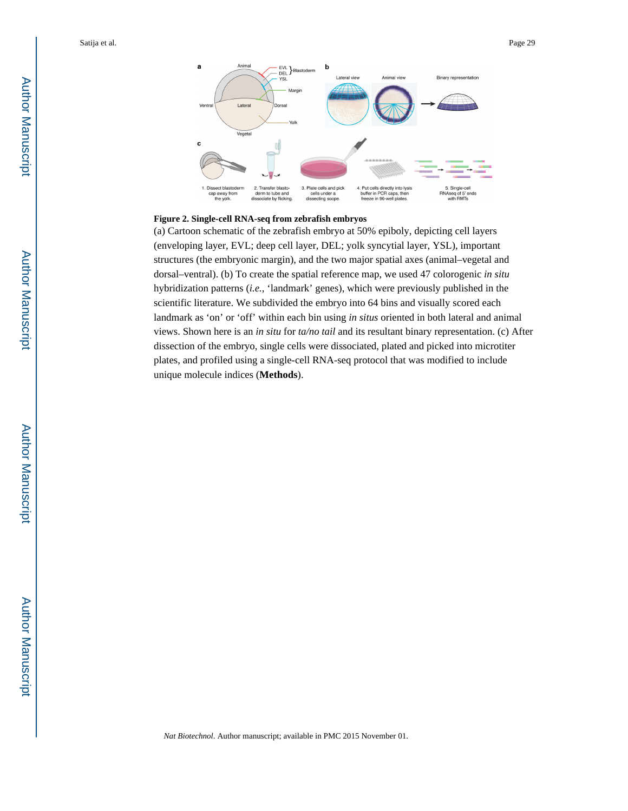

#### **Figure 2. Single-cell RNA-seq from zebrafish embryos**

(a) Cartoon schematic of the zebrafish embryo at 50% epiboly, depicting cell layers (enveloping layer, EVL; deep cell layer, DEL; yolk syncytial layer, YSL), important structures (the embryonic margin), and the two major spatial axes (animal–vegetal and dorsal–ventral). (b) To create the spatial reference map, we used 47 colorogenic *in situ*  hybridization patterns (*i.e.*, 'landmark' genes), which were previously published in the scientific literature. We subdivided the embryo into 64 bins and visually scored each landmark as 'on' or 'off' within each bin using *in situs* oriented in both lateral and animal views. Shown here is an *in situ* for *ta/no tail* and its resultant binary representation. (c) After dissection of the embryo, single cells were dissociated, plated and picked into microtiter plates, and profiled using a single-cell RNA-seq protocol that was modified to include unique molecule indices (**Methods**).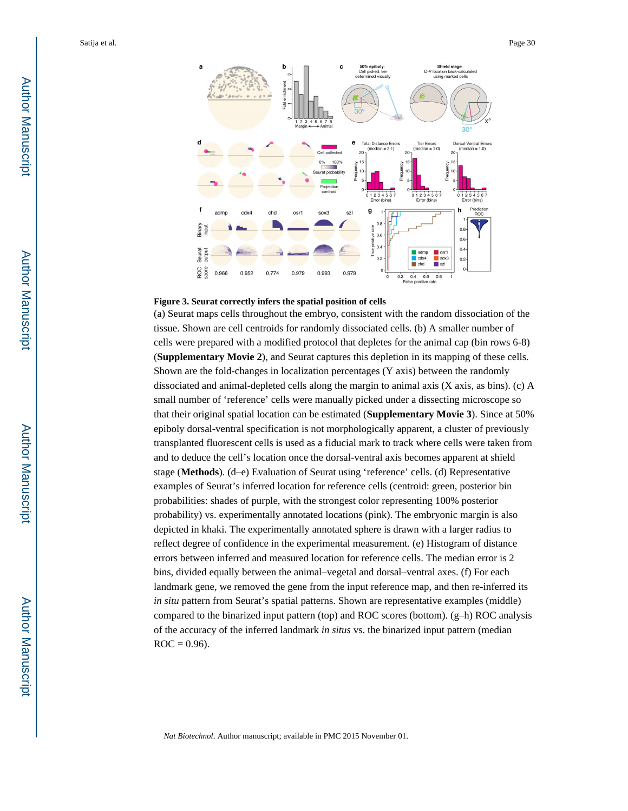

#### **Figure 3. Seurat correctly infers the spatial position of cells**

(a) Seurat maps cells throughout the embryo, consistent with the random dissociation of the tissue. Shown are cell centroids for randomly dissociated cells. (b) A smaller number of cells were prepared with a modified protocol that depletes for the animal cap (bin rows 6-8) (**Supplementary Movie 2**), and Seurat captures this depletion in its mapping of these cells. Shown are the fold-changes in localization percentages (Y axis) between the randomly dissociated and animal-depleted cells along the margin to animal axis (X axis, as bins). (c) A small number of 'reference' cells were manually picked under a dissecting microscope so that their original spatial location can be estimated (**Supplementary Movie 3**). Since at 50% epiboly dorsal-ventral specification is not morphologically apparent, a cluster of previously transplanted fluorescent cells is used as a fiducial mark to track where cells were taken from and to deduce the cell's location once the dorsal-ventral axis becomes apparent at shield stage (**Methods**). (d–e) Evaluation of Seurat using 'reference' cells. (d) Representative examples of Seurat's inferred location for reference cells (centroid: green, posterior bin probabilities: shades of purple, with the strongest color representing 100% posterior probability) vs. experimentally annotated locations (pink). The embryonic margin is also depicted in khaki. The experimentally annotated sphere is drawn with a larger radius to reflect degree of confidence in the experimental measurement. (e) Histogram of distance errors between inferred and measured location for reference cells. The median error is 2 bins, divided equally between the animal–vegetal and dorsal–ventral axes. (f) For each landmark gene, we removed the gene from the input reference map, and then re-inferred its *in situ* pattern from Seurat's spatial patterns. Shown are representative examples (middle) compared to the binarized input pattern (top) and ROC scores (bottom). (g–h) ROC analysis of the accuracy of the inferred landmark *in situs* vs. the binarized input pattern (median  $ROC = 0.96$ .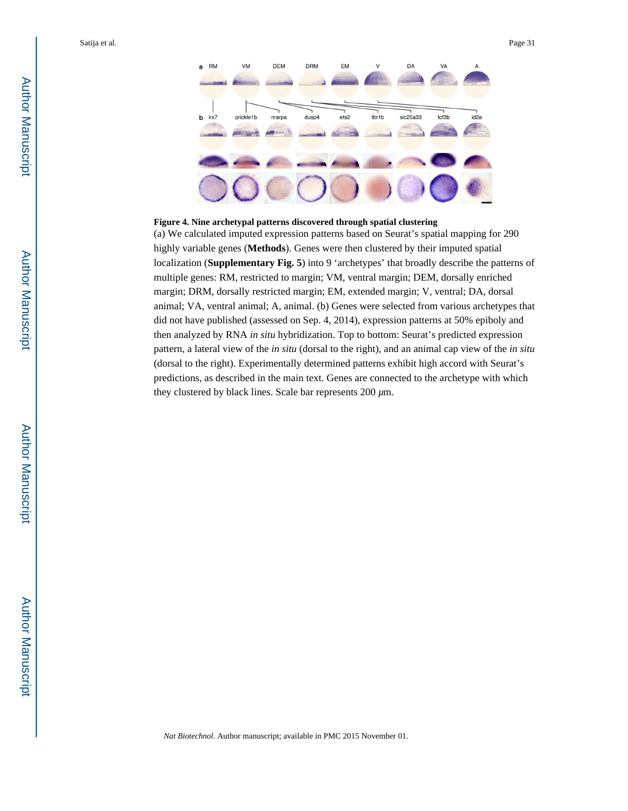

#### **Figure 4. Nine archetypal patterns discovered through spatial clustering**

(a) We calculated imputed expression patterns based on Seurat's spatial mapping for 290 highly variable genes (**Methods**). Genes were then clustered by their imputed spatial localization (**Supplementary Fig. 5**) into 9 'archetypes' that broadly describe the patterns of multiple genes: RM, restricted to margin; VM, ventral margin; DEM, dorsally enriched margin; DRM, dorsally restricted margin; EM, extended margin; V, ventral; DA, dorsal animal; VA, ventral animal; A, animal. (b) Genes were selected from various archetypes that did not have published (assessed on Sep. 4, 2014), expression patterns at 50% epiboly and then analyzed by RNA *in situ* hybridization. Top to bottom: Seurat's predicted expression pattern, a lateral view of the *in situ* (dorsal to the right), and an animal cap view of the *in situ*  (dorsal to the right). Experimentally determined patterns exhibit high accord with Seurat's predictions, as described in the main text. Genes are connected to the archetype with which they clustered by black lines. Scale bar represents 200 *µ*m.